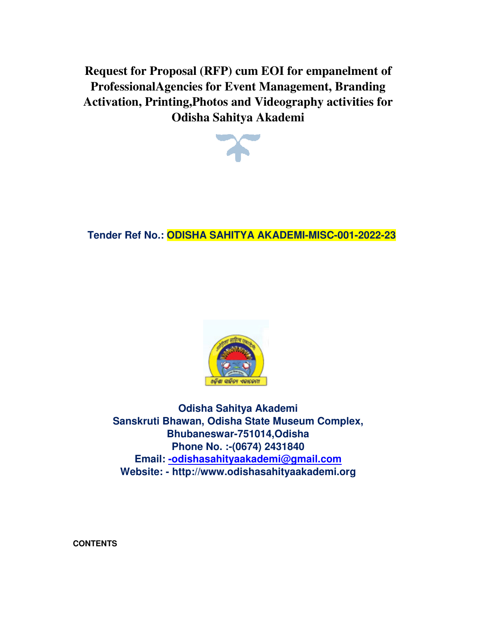**Request for Proposal (RFP) Proposal (RFP) cum EOI for empanelment of ProfessionalAgencies for Event Management, Branding Event Activation, Printing,Photos and Videography activities for Odisha Sahitya Akademi odishasahityaakademi**<br> **odishasahityaakademi**<br> **odishasahityaakademi**<br> **odishasahityaakademi<br>
<b>odishasahityaakademi**<br> **odishasahityaakademi<br>
Sanskruti Bhawan, Odisha State Museum Complex,<br>
Bhubaneswar-751014,Odisha<br>
Email** 



### **Tender Ref No.: ODISHA SAHITYA AKADEMI AKADEMI-MISC-001-**



**Odisha Sahitya Akademi Sanskruti Bhawan, Odisha State Museum Complex, Bhubaneswar Phone Phone No. :-(0674) 2431840 Email: -odishasahityaakademi@gmail.com Website: - http://www.odishasahityaakademi.org Sahitya Odisha Complex,Bhubaneswar-751014,Odisha** 

**CONTENTS**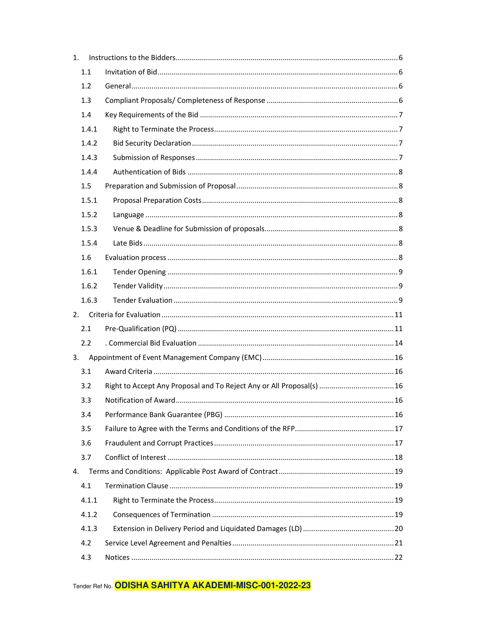| 1. |       |                                                                       |  |
|----|-------|-----------------------------------------------------------------------|--|
|    | 1.1   |                                                                       |  |
|    | 1.2   |                                                                       |  |
|    | 1.3   |                                                                       |  |
|    | 1.4   |                                                                       |  |
|    | 1.4.1 |                                                                       |  |
|    | 1.4.2 |                                                                       |  |
|    | 1.4.3 |                                                                       |  |
|    | 1.4.4 |                                                                       |  |
|    | 1.5   |                                                                       |  |
|    | 1.5.1 |                                                                       |  |
|    | 1.5.2 |                                                                       |  |
|    | 1.5.3 |                                                                       |  |
|    | 1.5.4 |                                                                       |  |
|    | 1.6   |                                                                       |  |
|    | 1.6.1 |                                                                       |  |
|    | 1.6.2 |                                                                       |  |
|    | 1.6.3 |                                                                       |  |
| 2. |       |                                                                       |  |
|    | 2.1   |                                                                       |  |
|    | 2.2   |                                                                       |  |
|    |       |                                                                       |  |
|    | 3.1   |                                                                       |  |
|    | 3.2   | Right to Accept Any Proposal and To Reject Any or All Proposal(s)  16 |  |
|    | 3.3   | 16                                                                    |  |
|    | 3.4   |                                                                       |  |
|    | 3.5   |                                                                       |  |
|    | 3.6   |                                                                       |  |
|    | 3.7   |                                                                       |  |
| 4. |       |                                                                       |  |
|    | 4.1   |                                                                       |  |
|    | 4.1.1 |                                                                       |  |
|    | 4.1.2 |                                                                       |  |
|    | 4.1.3 |                                                                       |  |
|    | 4.2   |                                                                       |  |
|    | 4.3   |                                                                       |  |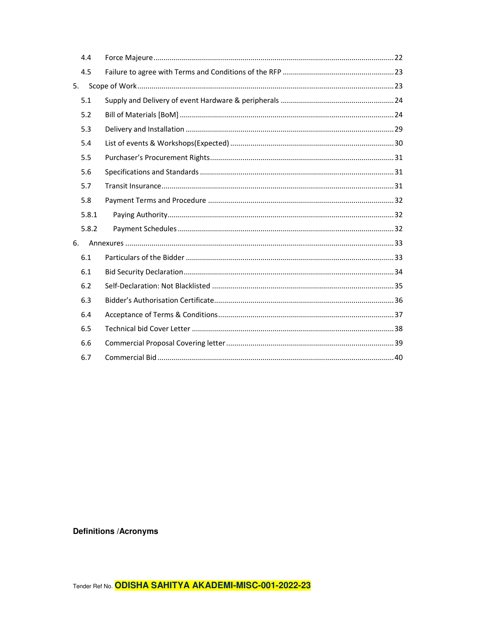|    | 4.4   |  |  |  |  |
|----|-------|--|--|--|--|
|    | 4.5   |  |  |  |  |
| 5. |       |  |  |  |  |
|    | 5.1   |  |  |  |  |
|    | 5.2   |  |  |  |  |
|    | 5.3   |  |  |  |  |
|    | 5.4   |  |  |  |  |
|    | 5.5   |  |  |  |  |
|    | 5.6   |  |  |  |  |
|    | 5.7   |  |  |  |  |
|    | 5.8   |  |  |  |  |
|    | 5.8.1 |  |  |  |  |
|    | 5.8.2 |  |  |  |  |
| 6. |       |  |  |  |  |
|    | 6.1   |  |  |  |  |
|    | 6.1   |  |  |  |  |
|    | 6.2   |  |  |  |  |
|    | 6.3   |  |  |  |  |
|    | 6.4   |  |  |  |  |
|    | 6.5   |  |  |  |  |
|    | 6.6   |  |  |  |  |
|    | 6.7   |  |  |  |  |

**Definitions / Acronyms**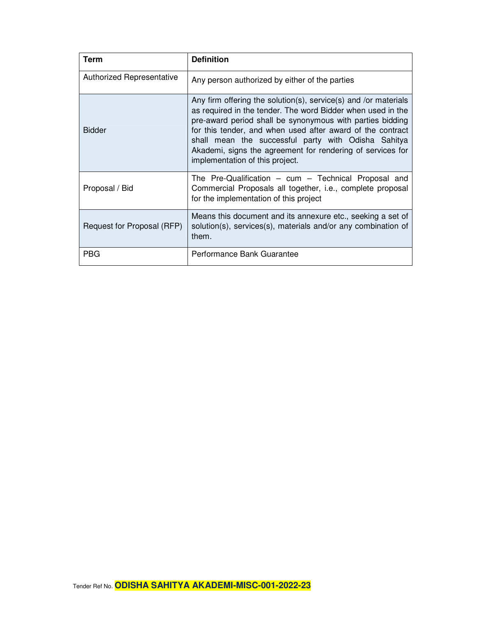| Term                       | <b>Definition</b>                                                                                                                                                                                                                                                                                                                                                                                                 |
|----------------------------|-------------------------------------------------------------------------------------------------------------------------------------------------------------------------------------------------------------------------------------------------------------------------------------------------------------------------------------------------------------------------------------------------------------------|
| Authorized Representative  | Any person authorized by either of the parties                                                                                                                                                                                                                                                                                                                                                                    |
| <b>Bidder</b>              | Any firm offering the solution(s), service(s) and /or materials<br>as required in the tender. The word Bidder when used in the<br>pre-award period shall be synonymous with parties bidding<br>for this tender, and when used after award of the contract<br>shall mean the successful party with Odisha Sahitya<br>Akademi, signs the agreement for rendering of services for<br>implementation of this project. |
| Proposal / Bid             | The Pre-Qualification $-$ cum $-$ Technical Proposal and<br>Commercial Proposals all together, i.e., complete proposal<br>for the implementation of this project                                                                                                                                                                                                                                                  |
| Request for Proposal (RFP) | Means this document and its annexure etc., seeking a set of<br>solution(s), services(s), materials and/or any combination of<br>them.                                                                                                                                                                                                                                                                             |
| <b>PBG</b>                 | Performance Bank Guarantee                                                                                                                                                                                                                                                                                                                                                                                        |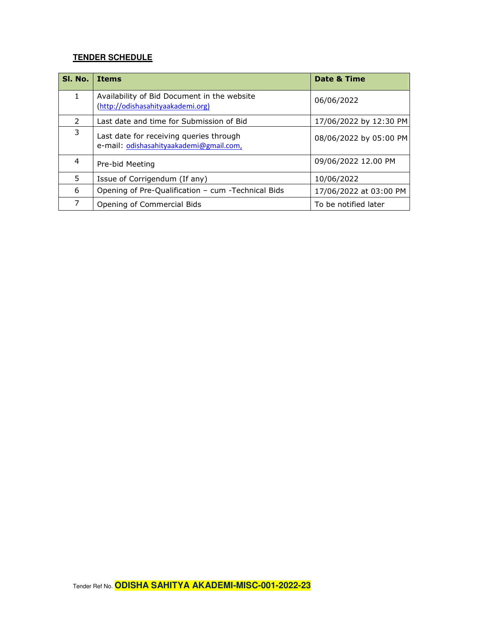### **TENDER SCHEDULE**

| SI. No.       | <b>Items</b>                                                                       | Date & Time            |
|---------------|------------------------------------------------------------------------------------|------------------------|
| 1             | Availability of Bid Document in the website<br>(http://odishasahityaakademi.org)   | 06/06/2022             |
| $\mathcal{P}$ | Last date and time for Submission of Bid                                           | 17/06/2022 by 12:30 PM |
| 3             | Last date for receiving queries through<br>e-mail: odishasahityaakademi@gmail.com, | 08/06/2022 by 05:00 PM |
| 4             | Pre-bid Meeting                                                                    | 09/06/2022 12.00 PM    |
| 5             | Issue of Corrigendum (If any)                                                      | 10/06/2022             |
| 6             | Opening of Pre-Qualification - cum -Technical Bids                                 | 17/06/2022 at 03:00 PM |
| 7             | Opening of Commercial Bids                                                         | To be notified later   |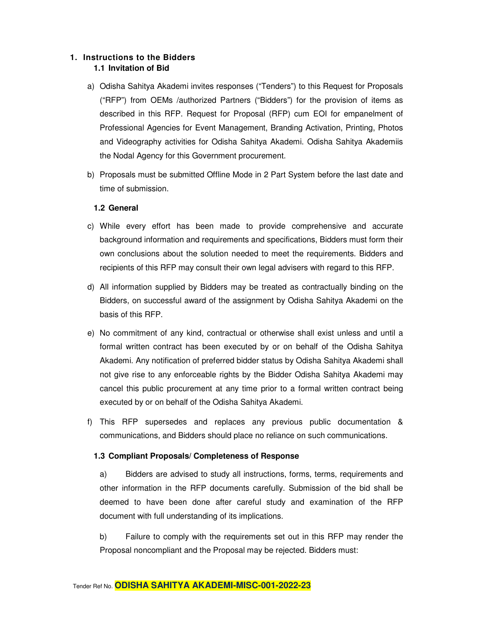#### **1. Instructions to the Bidders 1.1 Invitation of Bid**

- a) Odisha Sahitya Akademi invites responses ("Tenders") to this Request for Proposals ("RFP") from OEMs /authorized Partners ("Bidders") for the provision of items as described in this RFP. Request for Proposal (RFP) cum EOI for empanelment of Professional Agencies for Event Management, Branding Activation, Printing, Photos and Videography activities for Odisha Sahitya Akademi. Odisha Sahitya Akademiis the Nodal Agency for this Government procurement.
- b) Proposals must be submitted Offline Mode in 2 Part System before the last date and time of submission.

#### **1.2 General**

- c) While every effort has been made to provide comprehensive and accurate background information and requirements and specifications, Bidders must form their own conclusions about the solution needed to meet the requirements. Bidders and recipients of this RFP may consult their own legal advisers with regard to this RFP.
- d) All information supplied by Bidders may be treated as contractually binding on the Bidders, on successful award of the assignment by Odisha Sahitya Akademi on the basis of this RFP.
- e) No commitment of any kind, contractual or otherwise shall exist unless and until a formal written contract has been executed by or on behalf of the Odisha Sahitya Akademi. Any notification of preferred bidder status by Odisha Sahitya Akademi shall not give rise to any enforceable rights by the Bidder Odisha Sahitya Akademi may cancel this public procurement at any time prior to a formal written contract being executed by or on behalf of the Odisha Sahitya Akademi.
- f) This RFP supersedes and replaces any previous public documentation & communications, and Bidders should place no reliance on such communications.

#### **1.3 Compliant Proposals/ Completeness of Response**

a) Bidders are advised to study all instructions, forms, terms, requirements and other information in the RFP documents carefully. Submission of the bid shall be deemed to have been done after careful study and examination of the RFP document with full understanding of its implications.

b) Failure to comply with the requirements set out in this RFP may render the Proposal noncompliant and the Proposal may be rejected. Bidders must: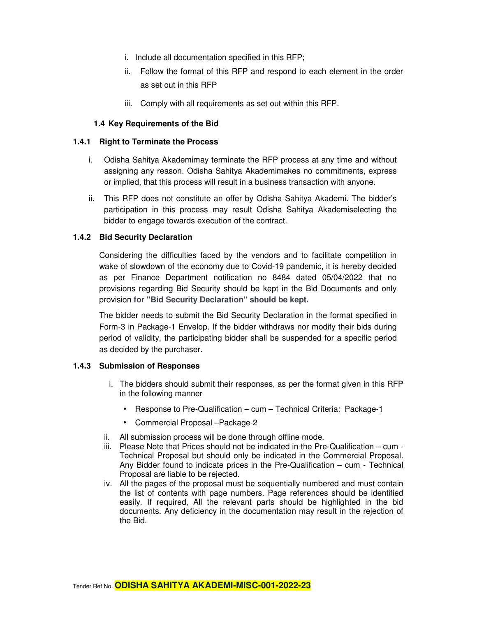- i. Include all documentation specified in this RFP;
- ii. Follow the format of this RFP and respond to each element in the order as set out in this RFP
- iii. Comply with all requirements as set out within this RFP.

#### **1.4 Key Requirements of the Bid**

#### **1.4.1 Right to Terminate the Process**

- i. Odisha Sahitya Akademimay terminate the RFP process at any time and without assigning any reason. Odisha Sahitya Akademimakes no commitments, express or implied, that this process will result in a business transaction with anyone.
- ii. This RFP does not constitute an offer by Odisha Sahitya Akademi. The bidder's participation in this process may result Odisha Sahitya Akademiselecting the bidder to engage towards execution of the contract.

#### **1.4.2 Bid Security Declaration**

Considering the difficulties faced by the vendors and to facilitate competition in wake of slowdown of the economy due to Covid-19 pandemic, it is hereby decided as per Finance Department notification no 8484 dated 05/04/2022 that no provisions regarding Bid Security should be kept in the Bid Documents and only provision **for "Bid Security Declaration" should be kept.**

The bidder needs to submit the Bid Security Declaration in the format specified in Form-3 in Package-1 Envelop. If the bidder withdraws nor modify their bids during period of validity, the participating bidder shall be suspended for a specific period as decided by the purchaser.

#### **1.4.3 Submission of Responses**

- i. The bidders should submit their responses, as per the format given in this RFP in the following manner
	- Response to Pre-Qualification cum Technical Criteria: Package-1
	- Commercial Proposal –Package-2
- ii. All submission process will be done through offline mode.
- iii. Please Note that Prices should not be indicated in the Pre-Qualification cum Technical Proposal but should only be indicated in the Commercial Proposal. Any Bidder found to indicate prices in the Pre-Qualification – cum - Technical Proposal are liable to be rejected.
- iv. All the pages of the proposal must be sequentially numbered and must contain the list of contents with page numbers. Page references should be identified easily. If required, All the relevant parts should be highlighted in the bid documents. Any deficiency in the documentation may result in the rejection of the Bid.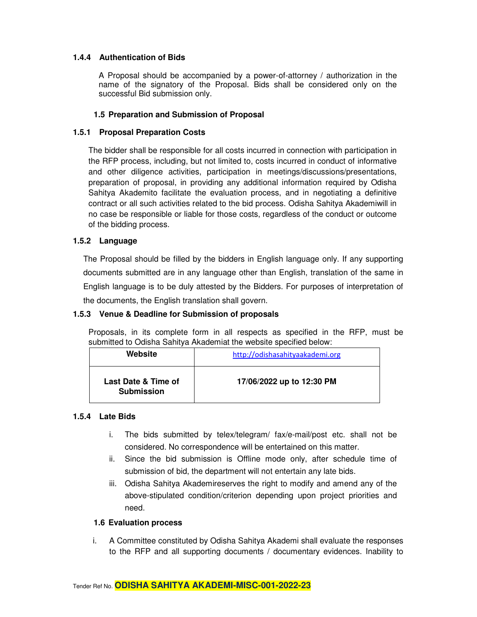#### **1.4.4 Authentication of Bids**

A Proposal should be accompanied by a power-of-attorney / authorization in the name of the signatory of the Proposal. Bids shall be considered only on the successful Bid submission only.

#### **1.5 Preparation and Submission of Proposal**

#### **1.5.1 Proposal Preparation Costs**

The bidder shall be responsible for all costs incurred in connection with participation in the RFP process, including, but not limited to, costs incurred in conduct of informative and other diligence activities, participation in meetings/discussions/presentations, preparation of proposal, in providing any additional information required by Odisha Sahitya Akademito facilitate the evaluation process, and in negotiating a definitive contract or all such activities related to the bid process. Odisha Sahitya Akademiwill in no case be responsible or liable for those costs, regardless of the conduct or outcome of the bidding process.

#### **1.5.2 Language**

The Proposal should be filled by the bidders in English language only. If any supporting documents submitted are in any language other than English, translation of the same in English language is to be duly attested by the Bidders. For purposes of interpretation of the documents, the English translation shall govern.

#### **1.5.3 Venue & Deadline for Submission of proposals**

Proposals, in its complete form in all respects as specified in the RFP, must be submitted to Odisha Sahitya Akademiat the website specified below:

| Website                                  | http://odishasahityaakademi.org |
|------------------------------------------|---------------------------------|
| Last Date & Time of<br><b>Submission</b> | 17/06/2022 up to 12:30 PM       |

#### **1.5.4 Late Bids**

- i. The bids submitted by telex/telegram/ fax/e-mail/post etc. shall not be considered. No correspondence will be entertained on this matter.
- ii. Since the bid submission is Offline mode only, after schedule time of submission of bid, the department will not entertain any late bids.
- iii. Odisha Sahitya Akademireserves the right to modify and amend any of the above-stipulated condition/criterion depending upon project priorities and need.

#### **1.6 Evaluation process**

i. A Committee constituted by Odisha Sahitya Akademi shall evaluate the responses to the RFP and all supporting documents / documentary evidences. Inability to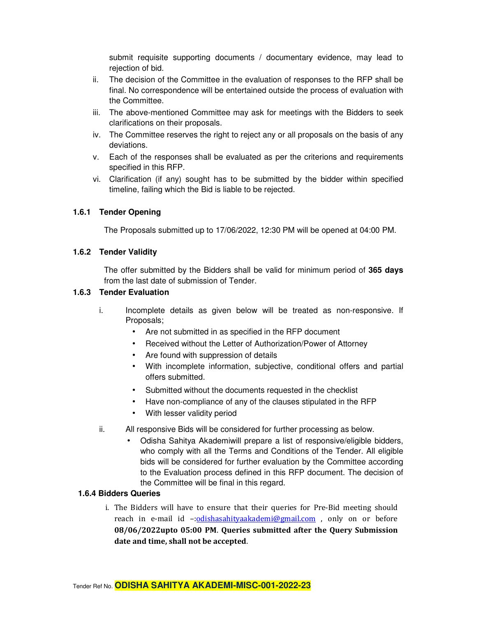submit requisite supporting documents / documentary evidence, may lead to rejection of bid.

- ii. The decision of the Committee in the evaluation of responses to the RFP shall be final. No correspondence will be entertained outside the process of evaluation with the Committee.
- iii. The above-mentioned Committee may ask for meetings with the Bidders to seek clarifications on their proposals.
- iv. The Committee reserves the right to reject any or all proposals on the basis of any deviations.
- v. Each of the responses shall be evaluated as per the criterions and requirements specified in this RFP.
- vi. Clarification (if any) sought has to be submitted by the bidder within specified timeline, failing which the Bid is liable to be rejected.

#### **1.6.1 Tender Opening**

The Proposals submitted up to 17/06/2022, 12:30 PM will be opened at 04:00 PM.

#### **1.6.2 Tender Validity**

The offer submitted by the Bidders shall be valid for minimum period of **365 days** from the last date of submission of Tender.

#### **1.6.3 Tender Evaluation**

- i. Incomplete details as given below will be treated as non-responsive. If Proposals;
	- Are not submitted in as specified in the RFP document
	- Received without the Letter of Authorization/Power of Attorney
	- Are found with suppression of details
	- With incomplete information, subjective, conditional offers and partial offers submitted.
	- Submitted without the documents requested in the checklist
	- Have non-compliance of any of the clauses stipulated in the RFP
	- With lesser validity period
- ii. All responsive Bids will be considered for further processing as below.
	- Odisha Sahitya Akademiwill prepare a list of responsive/eligible bidders, who comply with all the Terms and Conditions of the Tender. All eligible bids will be considered for further evaluation by the Committee according to the Evaluation process defined in this RFP document. The decision of the Committee will be final in this regard.

#### **1.6.4 Bidders Queries**

i. The Bidders will have to ensure that their queries for Pre-Bid meeting should reach in e-mail id -: odishasahityaakademi@gmail.com, only on or before **08/06/2022upto 05:00 PM**. **Queries submitted after the Query Submission date and time, shall not be accepted**.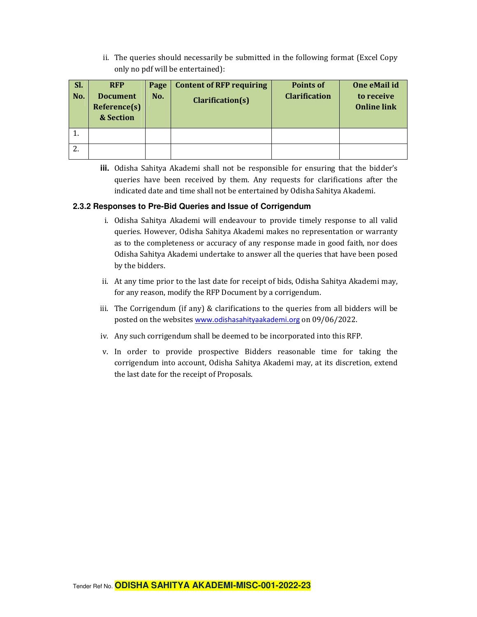ii. The queries should necessarily be submitted in the following format (Excel Copy only no pdf will be entertained):

| SI. | <b>RFP</b>                                   | Page | <b>Content of RFP requiring</b> | <b>Points of</b>     | One eMail id                     |
|-----|----------------------------------------------|------|---------------------------------|----------------------|----------------------------------|
| No. | <b>Document</b><br>Reference(s)<br>& Section | No.  | Clarification(s)                | <b>Clarification</b> | to receive<br><b>Online link</b> |
| π.  |                                              |      |                                 |                      |                                  |
| Ζ.  |                                              |      |                                 |                      |                                  |

**iii.** Odisha Sahitya Akademi shall not be responsible for ensuring that the bidder's queries have been received by them. Any requests for clarifications after the indicated date and time shall not be entertained by Odisha Sahitya Akademi.

#### **2.3.2 Responses to Pre-Bid Queries and Issue of Corrigendum**

- i. Odisha Sahitya Akademi will endeavour to provide timely response to all valid queries. However, Odisha Sahitya Akademi makes no representation or warranty as to the completeness or accuracy of any response made in good faith, nor does Odisha Sahitya Akademi undertake to answer all the queries that have been posed by the bidders.
- ii. At any time prior to the last date for receipt of bids, Odisha Sahitya Akademi may, for any reason, modify the RFP Document by a corrigendum.
- iii. The Corrigendum (if any) & clarifications to the queries from all bidders will be posted on the websites www.odishasahityaakademi.org on 09/06/2022.
- iv. Any such corrigendum shall be deemed to be incorporated into this RFP.
- v. In order to provide prospective Bidders reasonable time for taking the corrigendum into account, Odisha Sahitya Akademi may, at its discretion, extend the last date for the receipt of Proposals.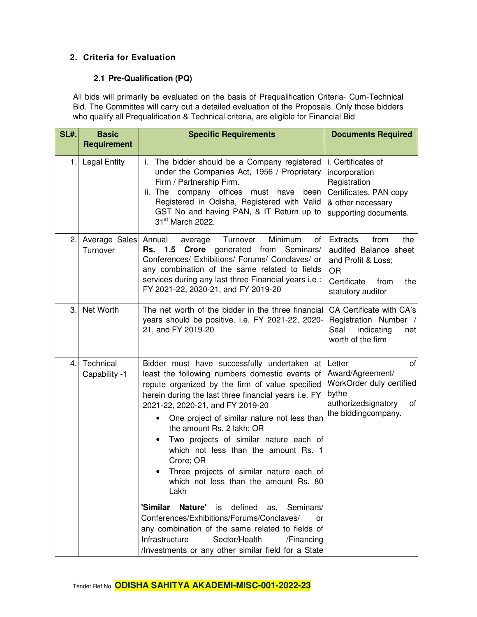#### **2. Criteria for Evaluation**

#### **2.1 Pre-Qualification (PQ)**

All bids will primarily be evaluated on the basis of Prequalification Criteria- Cum-Technical Bid. The Committee will carry out a detailed evaluation of the Proposals. Only those bidders who qualify all Prequalification & Technical criteria, are eligible for Financial Bid

| SL#. | <b>Basic</b><br><b>Requirement</b> | <b>Specific Requirements</b>                                                                                                                                                                                                                                                                                                                                                                                                                                                                                                                                                                                                                                                                                                                                                                     | <b>Documents Required</b>                                                                                                              |
|------|------------------------------------|--------------------------------------------------------------------------------------------------------------------------------------------------------------------------------------------------------------------------------------------------------------------------------------------------------------------------------------------------------------------------------------------------------------------------------------------------------------------------------------------------------------------------------------------------------------------------------------------------------------------------------------------------------------------------------------------------------------------------------------------------------------------------------------------------|----------------------------------------------------------------------------------------------------------------------------------------|
| 1.   | <b>Legal Entity</b>                | The bidder should be a Company registered<br>Ĺ.<br>under the Companies Act, 1956 / Proprietary<br>Firm / Partnership Firm.<br>ii. The company offices must have<br>been<br>Registered in Odisha, Registered with Valid<br>GST No and having PAN, & IT Return up to<br>31 <sup>st</sup> March 2022.                                                                                                                                                                                                                                                                                                                                                                                                                                                                                               | i. Certificates of<br>incorporation<br>Registration<br>Certificates, PAN copy<br>& other necessary<br>supporting documents.            |
| 2.   | Average Sales Annual<br>Turnover   | Turnover<br>Minimum<br>of<br>average<br>Seminars/<br>1.5<br>Crore<br>generated from<br>Rs.<br>Conferences/ Exhibitions/ Forums/ Conclaves/ or<br>any combination of the same related to fields<br>services during any last three Financial years i.e :<br>FY 2021-22, 2020-21, and FY 2019-20                                                                                                                                                                                                                                                                                                                                                                                                                                                                                                    | Extracts<br>from<br>the<br>audited Balance sheet<br>and Profit & Loss;<br><b>OR</b><br>Certificate<br>from<br>the<br>statutory auditor |
| 3.   | Net Worth                          | The net worth of the bidder in the three financial<br>years should be positive. i.e. FY 2021-22, 2020-<br>21, and FY 2019-20                                                                                                                                                                                                                                                                                                                                                                                                                                                                                                                                                                                                                                                                     | CA Certificate with CA's<br>Registration Number /<br>Seal<br>indicating<br>net<br>worth of the firm                                    |
| 4.   | Technical<br>Capability -1         | Bidder must have successfully undertaken at<br>least the following numbers domestic events of<br>repute organized by the firm of value specified<br>herein during the last three financial years <i>i.e.</i> FY<br>2021-22, 2020-21, and FY 2019-20<br>One project of similar nature not less than<br>the amount Rs. 2 lakh; OR<br>Two projects of similar nature each of<br>which not less than the amount Rs. 1<br>Crore; OR<br>Three projects of similar nature each of<br>which not less than the amount Rs. 80<br>Lakh<br>'Similar<br>Nature' is<br>defined<br>as, Seminars/<br>Conferences/Exhibitions/Forums/Conclaves/<br>or<br>any combination of the same related to fields of<br>Infrastructure<br>Sector/Health<br>/Financing<br>/Investments or any other similar field for a State | of<br>Letter<br>Award/Agreement/<br>WorkOrder duly certified<br>bythe<br>authorizedsignatory<br>of<br>the biddingcompany.              |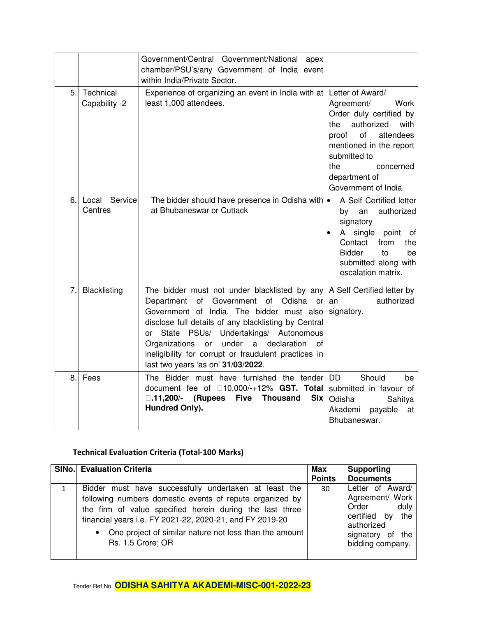|     |                            | Government/Central Government/National apex<br>chamber/PSU's/any Government of India event<br>within India/Private Sector.                                                                                                                                                                                                                                                                                                        |                                                                                                                                                                                                                                    |
|-----|----------------------------|-----------------------------------------------------------------------------------------------------------------------------------------------------------------------------------------------------------------------------------------------------------------------------------------------------------------------------------------------------------------------------------------------------------------------------------|------------------------------------------------------------------------------------------------------------------------------------------------------------------------------------------------------------------------------------|
| 5.  | Technical<br>Capability -2 | Experience of organizing an event in India with at<br>least 1,000 attendees.                                                                                                                                                                                                                                                                                                                                                      | Letter of Award/<br>Agreement/<br>Work<br>Order duly certified by<br>authorized<br>with<br>the<br>of<br>attendees<br>proof<br>mentioned in the report<br>submitted to<br>the<br>concerned<br>department of<br>Government of India. |
| 6.  | Local Service<br>Centres   | The bidder should have presence in Odisha with .<br>at Bhubaneswar or Cuttack                                                                                                                                                                                                                                                                                                                                                     | A Self Certified letter<br>authorized<br>an<br>by<br>signatory<br>single point<br>A<br>of<br>Contact<br>from<br>the<br><b>Bidder</b><br>to<br>be<br>submitted along with<br>escalation matrix.                                     |
| 7.  | Blacklisting               | The bidder must not under blacklisted by any A Self Certified letter by<br>of<br>Government of Odisha or<br>Department<br>Government of India. The bidder must also<br>disclose full details of any blacklisting by Central<br>State PSUs/ Undertakings/ Autonomous<br>or<br>under<br>a<br>declaration<br>of<br>Organizations<br>or<br>ineligibility for corrupt or fraudulent practices in<br>last two years 'as on' 31/03/2022. | authorized<br>an<br>signatory.                                                                                                                                                                                                     |
| 8.1 | Fees                       | The Bidder must have furnished the tender<br>$10,000/+12\%$ GST. Total<br>document fee of<br>(Rupees<br><b>Five</b><br><b>Thousand</b><br><b>Six</b><br>-11,200/-<br>Hundred Only).                                                                                                                                                                                                                                               | Should<br><b>DD</b><br>be<br>submitted in favour of<br>Odisha<br>Sahitya<br>Akademi<br>payable<br>at<br>Bhubaneswar.                                                                                                               |

### **Technical Evaluation Criteria (Total-100 Marks)**

| <b>SINo.</b> Evaluation Criteria                                                                                                                                                                                                                                                                                           | Max<br><b>Points</b> | <b>Supporting</b><br><b>Documents</b>                                                                                          |
|----------------------------------------------------------------------------------------------------------------------------------------------------------------------------------------------------------------------------------------------------------------------------------------------------------------------------|----------------------|--------------------------------------------------------------------------------------------------------------------------------|
| Bidder must have successfully undertaken at least the<br>following numbers domestic events of repute organized by<br>the firm of value specified herein during the last three<br>financial years i.e. FY 2021-22, 2020-21, and FY 2019-20<br>• One project of similar nature not less than the amount<br>Rs. 1.5 Crore; OR | 30                   | Letter of Award/<br>Agreement/ Work<br>Order<br>duly<br>certified by the<br>authorized<br>signatory of the<br>bidding company. |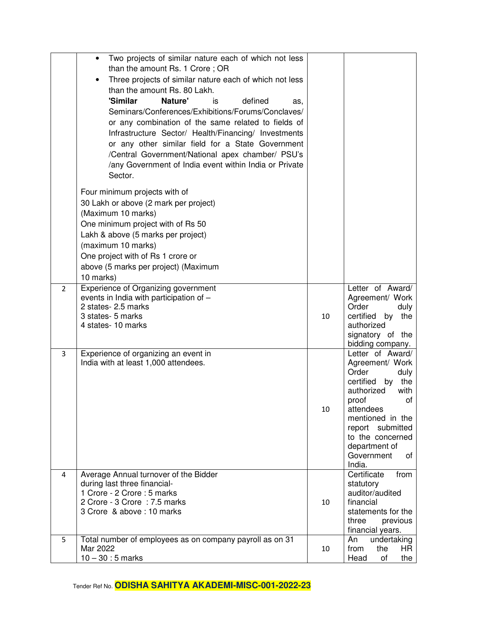|                | Two projects of similar nature each of which not less<br>$\bullet$<br>than the amount Rs. 1 Crore; OR<br>Three projects of similar nature each of which not less<br>than the amount Rs. 80 Lakh.<br>'Similar<br>Nature'<br>defined<br>is<br>as,<br>Seminars/Conferences/Exhibitions/Forums/Conclaves/<br>or any combination of the same related to fields of<br>Infrastructure Sector/ Health/Financing/ Investments<br>or any other similar field for a State Government<br>/Central Government/National apex chamber/ PSU's<br>/any Government of India event within India or Private<br>Sector. |    |                                                                                                                                                                                                                                             |
|----------------|----------------------------------------------------------------------------------------------------------------------------------------------------------------------------------------------------------------------------------------------------------------------------------------------------------------------------------------------------------------------------------------------------------------------------------------------------------------------------------------------------------------------------------------------------------------------------------------------------|----|---------------------------------------------------------------------------------------------------------------------------------------------------------------------------------------------------------------------------------------------|
|                | Four minimum projects with of<br>30 Lakh or above (2 mark per project)<br>(Maximum 10 marks)<br>One minimum project with of Rs 50<br>Lakh & above (5 marks per project)<br>(maximum 10 marks)<br>One project with of Rs 1 crore or<br>above (5 marks per project) (Maximum<br>10 marks)                                                                                                                                                                                                                                                                                                            |    |                                                                                                                                                                                                                                             |
| $\overline{2}$ | Experience of Organizing government<br>events in India with participation of -<br>2 states- 2.5 marks<br>3 states- 5 marks<br>4 states-10 marks                                                                                                                                                                                                                                                                                                                                                                                                                                                    | 10 | Letter of Award/<br>Agreement/ Work<br>Order<br>duly<br>certified<br>by the<br>authorized<br>signatory of the<br>bidding company.                                                                                                           |
| 3              | Experience of organizing an event in<br>India with at least 1,000 attendees.                                                                                                                                                                                                                                                                                                                                                                                                                                                                                                                       | 10 | Letter of Award/<br>Agreement/ Work<br>Order<br>duly<br>certified<br>the<br>by<br>authorized<br>with<br>proof<br>οf<br>attendees<br>mentioned in the<br>report submitted<br>to the concerned<br>department of<br>Government<br>οf<br>India. |
| 4              | Average Annual turnover of the Bidder<br>during last three financial-<br>1 Crore - 2 Crore : 5 marks<br>2 Crore - 3 Crore : 7.5 marks<br>3 Crore & above: 10 marks                                                                                                                                                                                                                                                                                                                                                                                                                                 | 10 | Certificate<br>from<br>statutory<br>auditor/audited<br>financial<br>statements for the<br>three<br>previous<br>financial years.                                                                                                             |
| 5              | Total number of employees as on company payroll as on 31<br>Mar 2022<br>$10 - 30 : 5$ marks                                                                                                                                                                                                                                                                                                                                                                                                                                                                                                        | 10 | undertaking<br>An<br>from<br>the<br>HR.<br>of<br>the<br>Head                                                                                                                                                                                |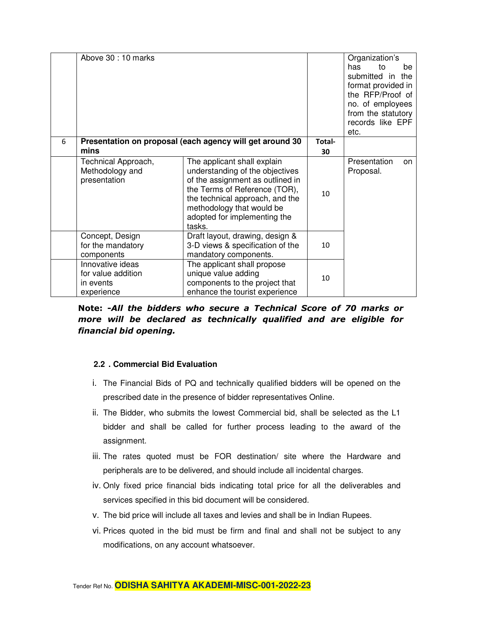|   | Above 30 : 10 marks                                               |                                                                                                                                                                                                                                               |              | Organization's<br>has<br>to<br>be<br>submitted in the<br>format provided in<br>the RFP/Proof of<br>no. of employees<br>from the statutory<br>records like EPF<br>etc. |
|---|-------------------------------------------------------------------|-----------------------------------------------------------------------------------------------------------------------------------------------------------------------------------------------------------------------------------------------|--------------|-----------------------------------------------------------------------------------------------------------------------------------------------------------------------|
| 6 | mins                                                              | Presentation on proposal (each agency will get around 30                                                                                                                                                                                      | Total-<br>30 |                                                                                                                                                                       |
|   | Technical Approach,<br>Methodology and<br>presentation            | The applicant shall explain<br>understanding of the objectives<br>of the assignment as outlined in<br>the Terms of Reference (TOR),<br>the technical approach, and the<br>methodology that would be<br>adopted for implementing the<br>tasks. | 10           | Presentation<br>on<br>Proposal.                                                                                                                                       |
|   | Concept, Design<br>for the mandatory<br>components                | Draft layout, drawing, design &<br>3-D views & specification of the<br>mandatory components.                                                                                                                                                  | 10           |                                                                                                                                                                       |
|   | Innovative ideas<br>for value addition<br>in events<br>experience | The applicant shall propose<br>unique value adding<br>components to the project that<br>enhance the tourist experience                                                                                                                        | 10           |                                                                                                                                                                       |

**Note: -***All the bidders who secure a Technical Score of 70 marks or more will be declared as technically qualified and are eligible for financial bid opening.* 

#### **2.2 . Commercial Bid Evaluation**

- i. The Financial Bids of PQ and technically qualified bidders will be opened on the prescribed date in the presence of bidder representatives Online.
- ii. The Bidder, who submits the lowest Commercial bid, shall be selected as the L1 bidder and shall be called for further process leading to the award of the assignment.
- iii. The rates quoted must be FOR destination/ site where the Hardware and peripherals are to be delivered, and should include all incidental charges.
- iv. Only fixed price financial bids indicating total price for all the deliverables and services specified in this bid document will be considered.
- v. The bid price will include all taxes and levies and shall be in Indian Rupees.
- vi. Prices quoted in the bid must be firm and final and shall not be subject to any modifications, on any account whatsoever.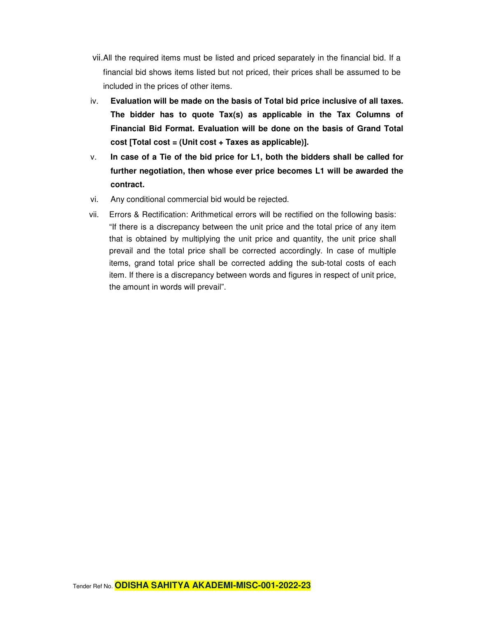- vii. All the required items must be listed and priced separately in the financial bid. If a financial bid shows items listed but not priced, their prices shall be assumed to be included in the prices of other items.
- iv. **Evaluation will be made on the basis of Total bid price inclusive of all taxes. The bidder has to quote Tax(s) as applicable in the Tax Columns of Financial Bid Format. Evaluation will be done on the basis of Grand Total cost [Total cost = (Unit cost + Taxes as applicable)].**
- v. **In case of a Tie of the bid price for L1, both the bidders shall be called for further negotiation, then whose ever price becomes L1 will be awarded the contract.**
- vi. Any conditional commercial bid would be rejected.
- vii. Errors & Rectification: Arithmetical errors will be rectified on the following basis: "If there is a discrepancy between the unit price and the total price of any item that is obtained by multiplying the unit price and quantity, the unit price shall prevail and the total price shall be corrected accordingly. In case of multiple items, grand total price shall be corrected adding the sub-total costs of each item. If there is a discrepancy between words and figures in respect of unit price, the amount in words will prevail".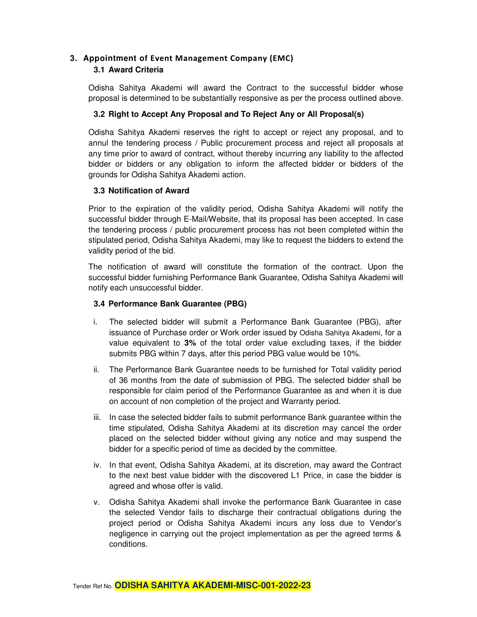# **3. Appointment of Event Management Company (EMC)**

#### **3.1 Award Criteria**

Odisha Sahitya Akademi will award the Contract to the successful bidder whose proposal is determined to be substantially responsive as per the process outlined above.

#### **3.2 Right to Accept Any Proposal and To Reject Any or All Proposal(s)**

Odisha Sahitya Akademi reserves the right to accept or reject any proposal, and to annul the tendering process / Public procurement process and reject all proposals at any time prior to award of contract, without thereby incurring any liability to the affected bidder or bidders or any obligation to inform the affected bidder or bidders of the grounds for Odisha Sahitya Akademi action.

#### **3.3 Notification of Award**

Prior to the expiration of the validity period, Odisha Sahitya Akademi will notify the successful bidder through E-Mail/Website, that its proposal has been accepted. In case the tendering process / public procurement process has not been completed within the stipulated period, Odisha Sahitya Akademi, may like to request the bidders to extend the validity period of the bid.

The notification of award will constitute the formation of the contract. Upon the successful bidder furnishing Performance Bank Guarantee, Odisha Sahitya Akademi will notify each unsuccessful bidder.

#### **3.4 Performance Bank Guarantee (PBG)**

- i. The selected bidder will submit a Performance Bank Guarantee (PBG), after issuance of Purchase order or Work order issued by Odisha Sahitya Akademi, for a value equivalent to **3%** of the total order value excluding taxes, if the bidder submits PBG within 7 days, after this period PBG value would be 10%.
- ii. The Performance Bank Guarantee needs to be furnished for Total validity period of 36 months from the date of submission of PBG. The selected bidder shall be responsible for claim period of the Performance Guarantee as and when it is due on account of non completion of the project and Warranty period.
- iii. In case the selected bidder fails to submit performance Bank guarantee within the time stipulated, Odisha Sahitya Akademi at its discretion may cancel the order placed on the selected bidder without giving any notice and may suspend the bidder for a specific period of time as decided by the committee.
- iv. In that event, Odisha Sahitya Akademi, at its discretion, may award the Contract to the next best value bidder with the discovered L1 Price, in case the bidder is agreed and whose offer is valid.
- v. Odisha Sahitya Akademi shall invoke the performance Bank Guarantee in case the selected Vendor fails to discharge their contractual obligations during the project period or Odisha Sahitya Akademi incurs any loss due to Vendor's negligence in carrying out the project implementation as per the agreed terms & conditions.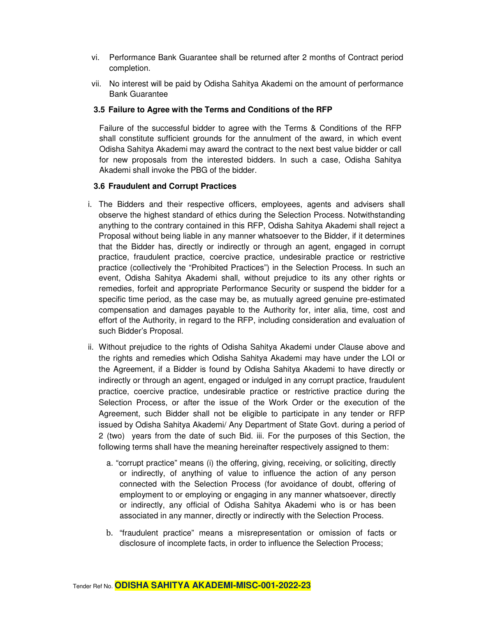- vi. Performance Bank Guarantee shall be returned after 2 months of Contract period completion.
- vii. No interest will be paid by Odisha Sahitya Akademi on the amount of performance Bank Guarantee

#### **3.5 Failure to Agree with the Terms and Conditions of the RFP**

Failure of the successful bidder to agree with the Terms & Conditions of the RFP shall constitute sufficient grounds for the annulment of the award, in which event Odisha Sahitya Akademi may award the contract to the next best value bidder or call for new proposals from the interested bidders. In such a case, Odisha Sahitya Akademi shall invoke the PBG of the bidder.

#### **3.6 Fraudulent and Corrupt Practices**

- i. The Bidders and their respective officers, employees, agents and advisers shall observe the highest standard of ethics during the Selection Process. Notwithstanding anything to the contrary contained in this RFP, Odisha Sahitya Akademi shall reject a Proposal without being liable in any manner whatsoever to the Bidder, if it determines that the Bidder has, directly or indirectly or through an agent, engaged in corrupt practice, fraudulent practice, coercive practice, undesirable practice or restrictive practice (collectively the "Prohibited Practices") in the Selection Process. In such an event, Odisha Sahitya Akademi shall, without prejudice to its any other rights or remedies, forfeit and appropriate Performance Security or suspend the bidder for a specific time period, as the case may be, as mutually agreed genuine pre-estimated compensation and damages payable to the Authority for, inter alia, time, cost and effort of the Authority, in regard to the RFP, including consideration and evaluation of such Bidder's Proposal.
- ii. Without prejudice to the rights of Odisha Sahitya Akademi under Clause above and the rights and remedies which Odisha Sahitya Akademi may have under the LOI or the Agreement, if a Bidder is found by Odisha Sahitya Akademi to have directly or indirectly or through an agent, engaged or indulged in any corrupt practice, fraudulent practice, coercive practice, undesirable practice or restrictive practice during the Selection Process, or after the issue of the Work Order or the execution of the Agreement, such Bidder shall not be eligible to participate in any tender or RFP issued by Odisha Sahitya Akademi/ Any Department of State Govt. during a period of 2 (two) years from the date of such Bid. iii. For the purposes of this Section, the following terms shall have the meaning hereinafter respectively assigned to them:
	- a. "corrupt practice" means (i) the offering, giving, receiving, or soliciting, directly or indirectly, of anything of value to influence the action of any person connected with the Selection Process (for avoidance of doubt, offering of employment to or employing or engaging in any manner whatsoever, directly or indirectly, any official of Odisha Sahitya Akademi who is or has been associated in any manner, directly or indirectly with the Selection Process.
	- b. "fraudulent practice" means a misrepresentation or omission of facts or disclosure of incomplete facts, in order to influence the Selection Process;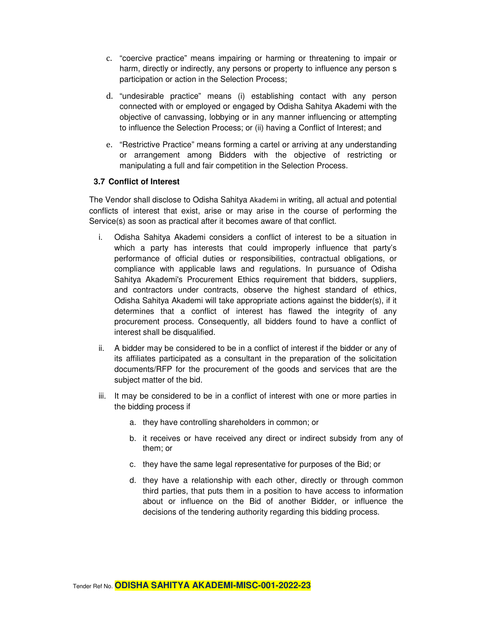- c. "coercive practice" means impairing or harming or threatening to impair or harm, directly or indirectly, any persons or property to influence any person s participation or action in the Selection Process;
- d. "undesirable practice" means (i) establishing contact with any person connected with or employed or engaged by Odisha Sahitya Akademi with the objective of canvassing, lobbying or in any manner influencing or attempting to influence the Selection Process; or (ii) having a Conflict of Interest; and
- e. "Restrictive Practice" means forming a cartel or arriving at any understanding or arrangement among Bidders with the objective of restricting or manipulating a full and fair competition in the Selection Process.

#### **3.7 Conflict of Interest**

The Vendor shall disclose to Odisha Sahitya Akademi in writing, all actual and potential conflicts of interest that exist, arise or may arise in the course of performing the Service(s) as soon as practical after it becomes aware of that conflict.

- i. Odisha Sahitya Akademi considers a conflict of interest to be a situation in which a party has interests that could improperly influence that party's performance of official duties or responsibilities, contractual obligations, or compliance with applicable laws and regulations. In pursuance of Odisha Sahitya Akademi's Procurement Ethics requirement that bidders, suppliers, and contractors under contracts, observe the highest standard of ethics, Odisha Sahitya Akademi will take appropriate actions against the bidder(s), if it determines that a conflict of interest has flawed the integrity of any procurement process. Consequently, all bidders found to have a conflict of interest shall be disqualified.
- ii. A bidder may be considered to be in a conflict of interest if the bidder or any of its affiliates participated as a consultant in the preparation of the solicitation documents/RFP for the procurement of the goods and services that are the subject matter of the bid.
- iii. It may be considered to be in a conflict of interest with one or more parties in the bidding process if
	- a. they have controlling shareholders in common; or
	- b. it receives or have received any direct or indirect subsidy from any of them; or
	- c. they have the same legal representative for purposes of the Bid; or
	- d. they have a relationship with each other, directly or through common third parties, that puts them in a position to have access to information about or influence on the Bid of another Bidder, or influence the decisions of the tendering authority regarding this bidding process.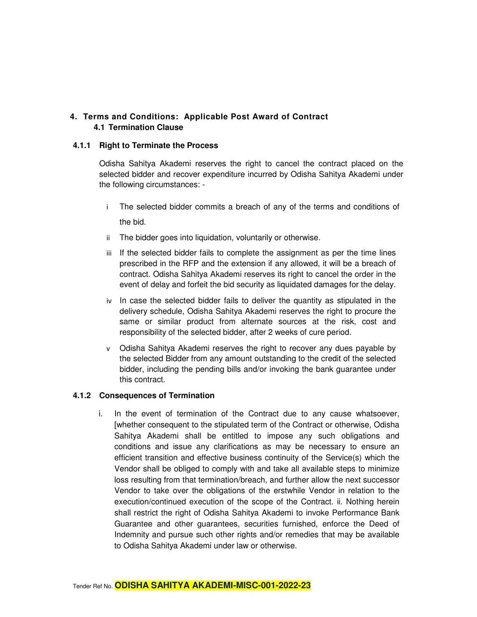#### **4. Terms and Conditions: Applicable Post Award of Contract 4.1 Termination Clause**

#### **4.1.1 Right to Terminate the Process**

Odisha Sahitya Akademi reserves the right to cancel the contract placed on the selected bidder and recover expenditure incurred by Odisha Sahitya Akademi under the following circumstances: -

- i The selected bidder commits a breach of any of the terms and conditions of the bid.
- ii The bidder goes into liquidation, voluntarily or otherwise.
- iii If the selected bidder fails to complete the assignment as per the time lines prescribed in the RFP and the extension if any allowed, it will be a breach of contract. Odisha Sahitya Akademi reserves its right to cancel the order in the event of delay and forfeit the bid security as liquidated damages for the delay.
- iv In case the selected bidder fails to deliver the quantity as stipulated in the delivery schedule, Odisha Sahitya Akademi reserves the right to procure the same or similar product from alternate sources at the risk, cost and responsibility of the selected bidder, after 2 weeks of cure period.
- v Odisha Sahitya Akademi reserves the right to recover any dues payable by the selected Bidder from any amount outstanding to the credit of the selected bidder, including the pending bills and/or invoking the bank guarantee under this contract.

#### **4.1.2 Consequences of Termination**

i. In the event of termination of the Contract due to any cause whatsoever, [whether consequent to the stipulated term of the Contract or otherwise, Odisha Sahitya Akademi shall be entitled to impose any such obligations and conditions and issue any clarifications as may be necessary to ensure an efficient transition and effective business continuity of the Service(s) which the Vendor shall be obliged to comply with and take all available steps to minimize loss resulting from that termination/breach, and further allow the next successor Vendor to take over the obligations of the erstwhile Vendor in relation to the execution/continued execution of the scope of the Contract. ii. Nothing herein shall restrict the right of Odisha Sahitya Akademi to invoke Performance Bank Guarantee and other guarantees, securities furnished, enforce the Deed of Indemnity and pursue such other rights and/or remedies that may be available to Odisha Sahitya Akademi under law or otherwise.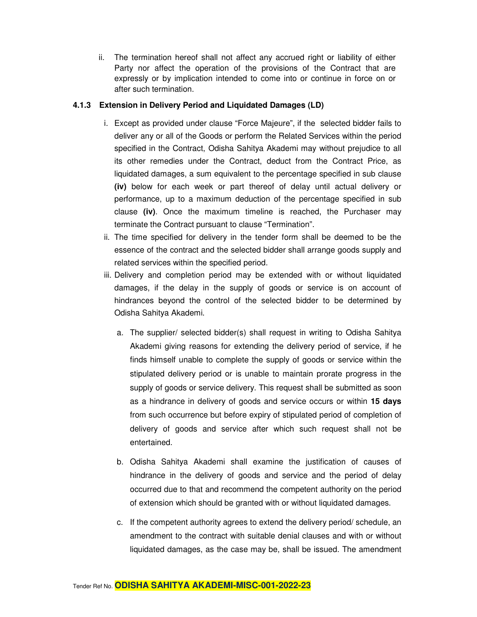ii. The termination hereof shall not affect any accrued right or liability of either Party nor affect the operation of the provisions of the Contract that are expressly or by implication intended to come into or continue in force on or after such termination.

#### **4.1.3 Extension in Delivery Period and Liquidated Damages (LD)**

- i. Except as provided under clause "Force Majeure", if the selected bidder fails to deliver any or all of the Goods or perform the Related Services within the period specified in the Contract, Odisha Sahitya Akademi may without prejudice to all its other remedies under the Contract, deduct from the Contract Price, as liquidated damages, a sum equivalent to the percentage specified in sub clause **(iv)** below for each week or part thereof of delay until actual delivery or performance, up to a maximum deduction of the percentage specified in sub clause **(iv)**. Once the maximum timeline is reached, the Purchaser may terminate the Contract pursuant to clause "Termination".
- ii. The time specified for delivery in the tender form shall be deemed to be the essence of the contract and the selected bidder shall arrange goods supply and related services within the specified period.
- iii. Delivery and completion period may be extended with or without liquidated damages, if the delay in the supply of goods or service is on account of hindrances beyond the control of the selected bidder to be determined by Odisha Sahitya Akademi.
	- a. The supplier/ selected bidder(s) shall request in writing to Odisha Sahitya Akademi giving reasons for extending the delivery period of service, if he finds himself unable to complete the supply of goods or service within the stipulated delivery period or is unable to maintain prorate progress in the supply of goods or service delivery. This request shall be submitted as soon as a hindrance in delivery of goods and service occurs or within **15 days** from such occurrence but before expiry of stipulated period of completion of delivery of goods and service after which such request shall not be entertained.
	- b. Odisha Sahitya Akademi shall examine the justification of causes of hindrance in the delivery of goods and service and the period of delay occurred due to that and recommend the competent authority on the period of extension which should be granted with or without liquidated damages.
	- c. If the competent authority agrees to extend the delivery period/ schedule, an amendment to the contract with suitable denial clauses and with or without liquidated damages, as the case may be, shall be issued. The amendment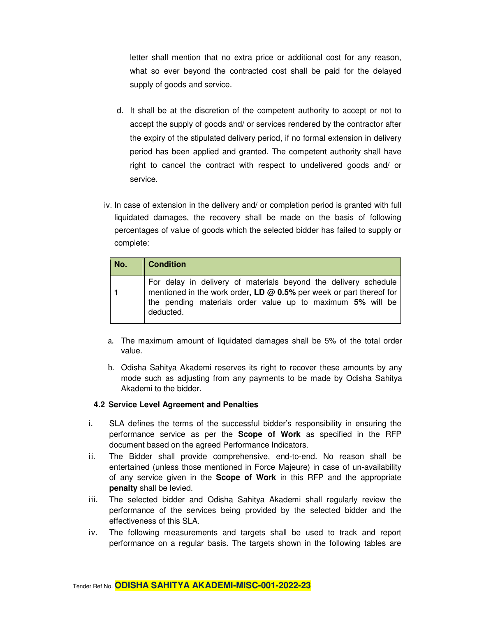letter shall mention that no extra price or additional cost for any reason, what so ever beyond the contracted cost shall be paid for the delayed supply of goods and service.

- d. It shall be at the discretion of the competent authority to accept or not to accept the supply of goods and/ or services rendered by the contractor after the expiry of the stipulated delivery period, if no formal extension in delivery period has been applied and granted. The competent authority shall have right to cancel the contract with respect to undelivered goods and/ or service.
- iv. In case of extension in the delivery and/ or completion period is granted with full liquidated damages, the recovery shall be made on the basis of following percentages of value of goods which the selected bidder has failed to supply or complete:

| No. | <b>Condition</b>                                                                                                                                                                                                  |
|-----|-------------------------------------------------------------------------------------------------------------------------------------------------------------------------------------------------------------------|
|     | For delay in delivery of materials beyond the delivery schedule<br>mentioned in the work order, LD @ 0.5% per week or part thereof for<br>the pending materials order value up to maximum 5% will be<br>deducted. |

- a. The maximum amount of liquidated damages shall be 5% of the total order value.
- b. Odisha Sahitya Akademi reserves its right to recover these amounts by any mode such as adjusting from any payments to be made by Odisha Sahitya Akademi to the bidder.

#### **4.2 Service Level Agreement and Penalties**

- i. SLA defines the terms of the successful bidder's responsibility in ensuring the performance service as per the **Scope of Work** as specified in the RFP document based on the agreed Performance Indicators.
- ii. The Bidder shall provide comprehensive, end-to-end. No reason shall be entertained (unless those mentioned in Force Majeure) in case of un-availability of any service given in the **Scope of Work** in this RFP and the appropriate **penalty** shall be levied.
- iii. The selected bidder and Odisha Sahitya Akademi shall regularly review the performance of the services being provided by the selected bidder and the effectiveness of this SLA.
- iv. The following measurements and targets shall be used to track and report performance on a regular basis. The targets shown in the following tables are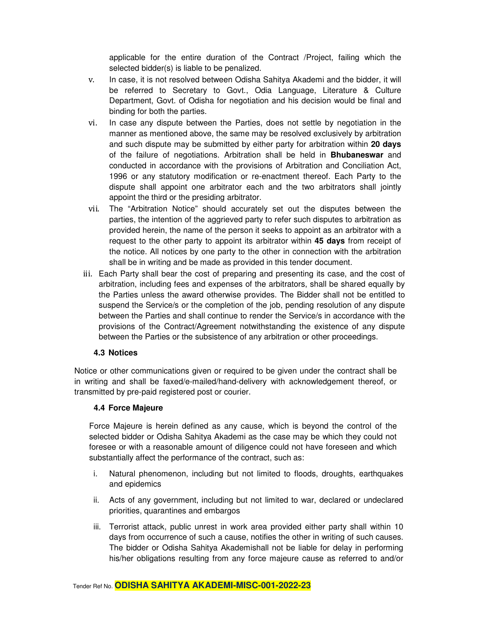applicable for the entire duration of the Contract /Project, failing which the selected bidder(s) is liable to be penalized.

- v. In case, it is not resolved between Odisha Sahitya Akademi and the bidder, it will be referred to Secretary to Govt., Odia Language, Literature & Culture Department, Govt. of Odisha for negotiation and his decision would be final and binding for both the parties.
- vi. In case any dispute between the Parties, does not settle by negotiation in the manner as mentioned above, the same may be resolved exclusively by arbitration and such dispute may be submitted by either party for arbitration within **20 days**  of the failure of negotiations. Arbitration shall be held in **Bhubaneswar** and conducted in accordance with the provisions of Arbitration and Conciliation Act, 1996 or any statutory modification or re-enactment thereof. Each Party to the dispute shall appoint one arbitrator each and the two arbitrators shall jointly appoint the third or the presiding arbitrator.
- vii. The "Arbitration Notice" should accurately set out the disputes between the parties, the intention of the aggrieved party to refer such disputes to arbitration as provided herein, the name of the person it seeks to appoint as an arbitrator with a request to the other party to appoint its arbitrator within **45 days** from receipt of the notice. All notices by one party to the other in connection with the arbitration shall be in writing and be made as provided in this tender document.
- iii. Each Party shall bear the cost of preparing and presenting its case, and the cost of arbitration, including fees and expenses of the arbitrators, shall be shared equally by the Parties unless the award otherwise provides. The Bidder shall not be entitled to suspend the Service/s or the completion of the job, pending resolution of any dispute between the Parties and shall continue to render the Service/s in accordance with the provisions of the Contract/Agreement notwithstanding the existence of any dispute between the Parties or the subsistence of any arbitration or other proceedings.

#### **4.3 Notices**

Notice or other communications given or required to be given under the contract shall be in writing and shall be faxed/e-mailed/hand-delivery with acknowledgement thereof, or transmitted by pre-paid registered post or courier.

#### **4.4 Force Majeure**

Force Majeure is herein defined as any cause, which is beyond the control of the selected bidder or Odisha Sahitya Akademi as the case may be which they could not foresee or with a reasonable amount of diligence could not have foreseen and which substantially affect the performance of the contract, such as:

- i. Natural phenomenon, including but not limited to floods, droughts, earthquakes and epidemics
- ii. Acts of any government, including but not limited to war, declared or undeclared priorities, quarantines and embargos
- iii. Terrorist attack, public unrest in work area provided either party shall within 10 days from occurrence of such a cause, notifies the other in writing of such causes. The bidder or Odisha Sahitya Akademishall not be liable for delay in performing his/her obligations resulting from any force majeure cause as referred to and/or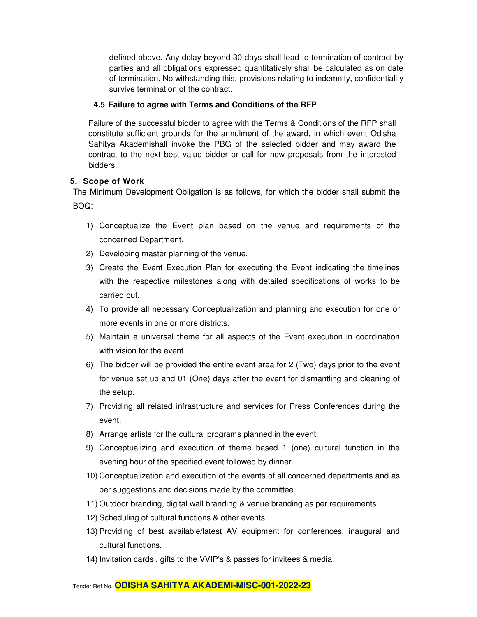defined above. Any delay beyond 30 days shall lead to termination of contract by parties and all obligations expressed quantitatively shall be calculated as on date of termination. Notwithstanding this, provisions relating to indemnity, confidentiality survive termination of the contract.

#### **4.5 Failure to agree with Terms and Conditions of the RFP**

Failure of the successful bidder to agree with the Terms & Conditions of the RFP shall constitute sufficient grounds for the annulment of the award, in which event Odisha Sahitya Akademishall invoke the PBG of the selected bidder and may award the contract to the next best value bidder or call for new proposals from the interested bidders.

#### **5. Scope of Work**

The Minimum Development Obligation is as follows, for which the bidder shall submit the BOQ:

- 1) Conceptualize the Event plan based on the venue and requirements of the concerned Department.
- 2) Developing master planning of the venue.
- 3) Create the Event Execution Plan for executing the Event indicating the timelines with the respective milestones along with detailed specifications of works to be carried out.
- 4) To provide all necessary Conceptualization and planning and execution for one or more events in one or more districts.
- 5) Maintain a universal theme for all aspects of the Event execution in coordination with vision for the event.
- 6) The bidder will be provided the entire event area for 2 (Two) days prior to the event for venue set up and 01 (One) days after the event for dismantling and cleaning of the setup.
- 7) Providing all related infrastructure and services for Press Conferences during the event.
- 8) Arrange artists for the cultural programs planned in the event.
- 9) Conceptualizing and execution of theme based 1 (one) cultural function in the evening hour of the specified event followed by dinner.
- 10) Conceptualization and execution of the events of all concerned departments and as per suggestions and decisions made by the committee.
- 11) Outdoor branding, digital wall branding & venue branding as per requirements.
- 12) Scheduling of cultural functions & other events.
- 13) Providing of best available/latest AV equipment for conferences, inaugural and cultural functions.
- 14) Invitation cards , gifts to the VVIP's & passes for invitees & media.

#### Tender Ref No. **ODISHA SAHITYA AKADEMI-MISC-001-2022-23**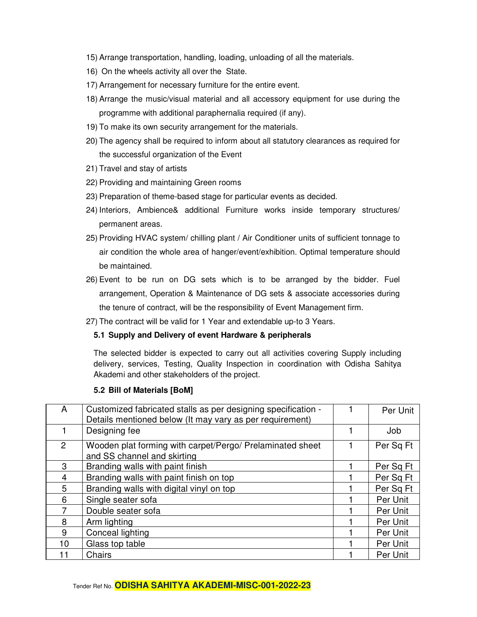- 15) Arrange transportation, handling, loading, unloading of all the materials.
- 16) On the wheels activity all over the State.
- 17) Arrangement for necessary furniture for the entire event.
- 18) Arrange the music/visual material and all accessory equipment for use during the programme with additional paraphernalia required (if any).
- 19) To make its own security arrangement for the materials.
- 20) The agency shall be required to inform about all statutory clearances as required for the successful organization of the Event
- 21) Travel and stay of artists
- 22) Providing and maintaining Green rooms
- 23) Preparation of theme-based stage for particular events as decided.
- 24) Interiors, Ambience& additional Furniture works inside temporary structures/ permanent areas.
- 25) Providing HVAC system/ chilling plant / Air Conditioner units of sufficient tonnage to air condition the whole area of hanger/event/exhibition. Optimal temperature should be maintained.
- 26) Event to be run on DG sets which is to be arranged by the bidder. Fuel arrangement, Operation & Maintenance of DG sets & associate accessories during the tenure of contract, will be the responsibility of Event Management firm.
- 27) The contract will be valid for 1 Year and extendable up-to 3 Years.

#### **5.1 Supply and Delivery of event Hardware & peripherals**

The selected bidder is expected to carry out all activities covering Supply including delivery, services, Testing, Quality Inspection in coordination with Odisha Sahitya Akademi and other stakeholders of the project.

#### **5.2 Bill of Materials [BoM]**

| A               | Customized fabricated stalls as per designing specification -<br>Details mentioned below (It may vary as per requirement) | Per Unit  |
|-----------------|---------------------------------------------------------------------------------------------------------------------------|-----------|
|                 | Designing fee                                                                                                             | Job       |
| $\overline{2}$  | Wooden plat forming with carpet/Pergo/ Prelaminated sheet<br>and SS channel and skirting                                  | Per Sq Ft |
| 3               | Branding walls with paint finish                                                                                          | Per Sq Ft |
| 4               | Branding walls with paint finish on top                                                                                   | Per Sq Ft |
| 5               | Branding walls with digital vinyl on top                                                                                  | Per Sq Ft |
| 6               | Single seater sofa                                                                                                        | Per Unit  |
|                 | Double seater sofa                                                                                                        | Per Unit  |
| 8               | Arm lighting                                                                                                              | Per Unit  |
| 9               | Conceal lighting                                                                                                          | Per Unit  |
| 10 <sup>1</sup> | Glass top table                                                                                                           | Per Unit  |
|                 | Chairs                                                                                                                    | Per Unit  |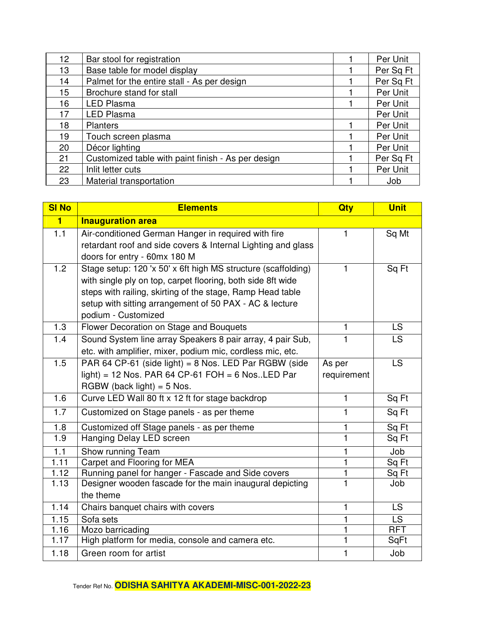| 12 | Bar stool for registration                         | Per Unit  |
|----|----------------------------------------------------|-----------|
| 13 | Base table for model display                       | Per Sq Ft |
| 14 | Palmet for the entire stall - As per design        | Per Sq Ft |
| 15 | Brochure stand for stall                           | Per Unit  |
| 16 | <b>LED Plasma</b>                                  | Per Unit  |
| 17 | <b>LED Plasma</b>                                  | Per Unit  |
| 18 | <b>Planters</b>                                    | Per Unit  |
| 19 | Touch screen plasma                                | Per Unit  |
| 20 | Décor lighting                                     | Per Unit  |
| 21 | Customized table with paint finish - As per design | Per Sq Ft |
| 22 | Inlit letter cuts                                  | Per Unit  |
| 23 | Material transportation                            | Job       |

| <b>SI No</b>      | <b>Elements</b>                                               | Qty            | <b>Unit</b> |
|-------------------|---------------------------------------------------------------|----------------|-------------|
| $\blacksquare$    | <b>Inauguration area</b>                                      |                |             |
| 1.1               | Air-conditioned German Hanger in required with fire           | $\mathbf{1}$   | Sq Mt       |
|                   | retardant roof and side covers & Internal Lighting and glass  |                |             |
|                   | doors for entry - 60mx 180 M                                  |                |             |
| 1.2               | Stage setup: 120 'x 50' x 6ft high MS structure (scaffolding) | 1              | Sq Ft       |
|                   | with single ply on top, carpet flooring, both side 8ft wide   |                |             |
|                   | steps with railing, skirting of the stage, Ramp Head table    |                |             |
|                   | setup with sitting arrangement of 50 PAX - AC & lecture       |                |             |
|                   | podium - Customized                                           |                |             |
| 1.3               | Flower Decoration on Stage and Bouquets                       | 1              | <b>LS</b>   |
| 1.4               | Sound System line array Speakers 8 pair array, 4 pair Sub,    | 1              | <b>LS</b>   |
|                   | etc. with amplifier, mixer, podium mic, cordless mic, etc.    |                |             |
| 1.5               | PAR 64 CP-61 (side light) = 8 Nos. LED Par RGBW (side         | As per         | LS          |
|                   | light) = 12 Nos. PAR 64 CP-61 FOH = 6 Nos. LED Par            | requirement    |             |
|                   | RGBW (back light) = $5$ Nos.                                  |                |             |
| 1.6               | Curve LED Wall 80 ft x 12 ft for stage backdrop               | $\mathbf{1}$   | Sq Ft       |
| 1.7               | Customized on Stage panels - as per theme                     | 1              | Sq Ft       |
| 1.8               | Customized off Stage panels - as per theme                    | 1              | Sq Ft       |
| 1.9               | Hanging Delay LED screen                                      | 1              | Sq Ft       |
| 1.1               | Show running Team                                             | 1              | Job         |
| $\overline{1.11}$ | Carpet and Flooring for MEA                                   | $\overline{1}$ | Sq Ft       |
| 1.12              | Running panel for hanger - Fascade and Side covers            | 1              | Sq Ft       |
| 1.13              | Designer wooden fascade for the main inaugural depicting      | $\mathbf{1}$   | Job         |
|                   | the theme                                                     |                |             |
| 1.14              | Chairs banquet chairs with covers                             | 1              | <b>LS</b>   |
| 1.15              | Sofa sets                                                     | 1              | <b>LS</b>   |
| 1.16              | Mozo barricading                                              | 1              | <b>RFT</b>  |
| 1.17              | High platform for media, console and camera etc.              | $\mathbf{1}$   | SqFt        |
| 1.18              | Green room for artist                                         | 1              | Job         |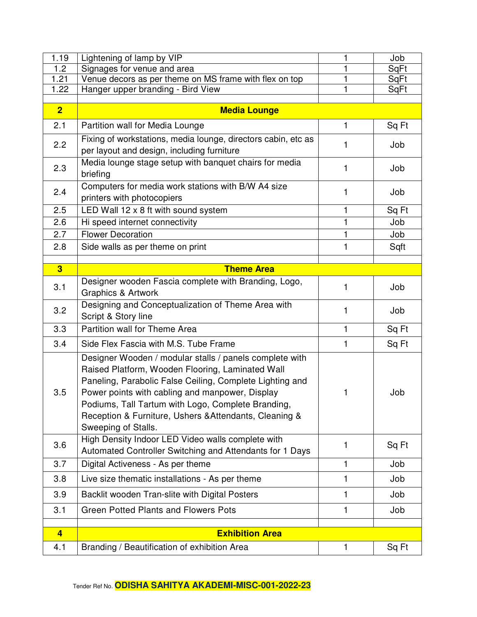| 1.19           | Lightening of lamp by VIP                                                                                                                                                                                                                                                                                                                                         |              | Job   |
|----------------|-------------------------------------------------------------------------------------------------------------------------------------------------------------------------------------------------------------------------------------------------------------------------------------------------------------------------------------------------------------------|--------------|-------|
| 1.2            | Signages for venue and area                                                                                                                                                                                                                                                                                                                                       | 1            | SqFt  |
| 1.21           | Venue decors as per theme on MS frame with flex on top                                                                                                                                                                                                                                                                                                            |              | SqFt  |
| 1.22           | Hanger upper branding - Bird View                                                                                                                                                                                                                                                                                                                                 |              | SqFt  |
| $\overline{2}$ | <b>Media Lounge</b>                                                                                                                                                                                                                                                                                                                                               |              |       |
| 2.1            | Partition wall for Media Lounge                                                                                                                                                                                                                                                                                                                                   | 1            | Sq Ft |
| 2.2            | Fixing of workstations, media lounge, directors cabin, etc as<br>per layout and design, including furniture                                                                                                                                                                                                                                                       | 1            | Job   |
| 2.3            | Media lounge stage setup with banquet chairs for media<br>briefing                                                                                                                                                                                                                                                                                                | 1            | Job   |
| 2.4            | Computers for media work stations with B/W A4 size<br>printers with photocopiers                                                                                                                                                                                                                                                                                  | 1            | Job   |
| 2.5            | LED Wall 12 x 8 ft with sound system                                                                                                                                                                                                                                                                                                                              | 1            | Sq Ft |
| 2.6            | Hi speed internet connectivity                                                                                                                                                                                                                                                                                                                                    | 1            | Job   |
| 2.7            | <b>Flower Decoration</b>                                                                                                                                                                                                                                                                                                                                          | 1            | Job   |
| 2.8            | Side walls as per theme on print                                                                                                                                                                                                                                                                                                                                  | 1            | Sqft  |
|                |                                                                                                                                                                                                                                                                                                                                                                   |              |       |
| 3              | <b>Theme Area</b>                                                                                                                                                                                                                                                                                                                                                 |              |       |
| 3.1            | Designer wooden Fascia complete with Branding, Logo,<br>Graphics & Artwork                                                                                                                                                                                                                                                                                        | 1            | Job   |
| 3.2            | Designing and Conceptualization of Theme Area with<br>Script & Story line                                                                                                                                                                                                                                                                                         | 1            | Job   |
| 3.3            | Partition wall for Theme Area                                                                                                                                                                                                                                                                                                                                     | $\mathbf{1}$ | Sq Ft |
| 3.4            | Side Flex Fascia with M.S. Tube Frame                                                                                                                                                                                                                                                                                                                             | 1            | Sq Ft |
| 3.5            | Designer Wooden / modular stalls / panels complete with<br>Raised Platform, Wooden Flooring, Laminated Wall<br>Paneling, Parabolic False Ceiling, Complete Lighting and<br>Power points with cabling and manpower, Display<br>Podiums, Tall Tartum with Logo, Complete Branding,<br>Reception & Furniture, Ushers & Attendants, Cleaning &<br>Sweeping of Stalls. | 1            | Job   |
| 3.6            | High Density Indoor LED Video walls complete with<br>Automated Controller Switching and Attendants for 1 Days                                                                                                                                                                                                                                                     | 1            | Sq Ft |
| 3.7            | Digital Activeness - As per theme                                                                                                                                                                                                                                                                                                                                 | 1            | Job   |
| 3.8            | Live size thematic installations - As per theme                                                                                                                                                                                                                                                                                                                   | 1            | Job   |
| 3.9            | Backlit wooden Tran-slite with Digital Posters                                                                                                                                                                                                                                                                                                                    | 1            | Job   |
| 3.1            | <b>Green Potted Plants and Flowers Pots</b>                                                                                                                                                                                                                                                                                                                       | 1            | Job   |
| $\overline{4}$ | <b>Exhibition Area</b>                                                                                                                                                                                                                                                                                                                                            |              |       |
|                |                                                                                                                                                                                                                                                                                                                                                                   |              |       |
| 4.1            | Branding / Beautification of exhibition Area                                                                                                                                                                                                                                                                                                                      | 1            | Sq Ft |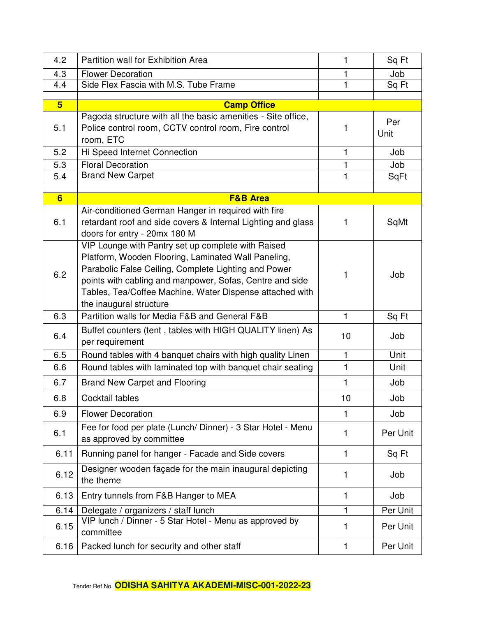| 4.2            | Partition wall for Exhibition Area                                                                                                                                                                                                                                                                                   | 1            | Sq Ft       |
|----------------|----------------------------------------------------------------------------------------------------------------------------------------------------------------------------------------------------------------------------------------------------------------------------------------------------------------------|--------------|-------------|
| 4.3            | <b>Flower Decoration</b>                                                                                                                                                                                                                                                                                             | 1            | Job         |
| 4.4            | Side Flex Fascia with M.S. Tube Frame                                                                                                                                                                                                                                                                                | 1            | Sq Ft       |
| 5 <sup>5</sup> | <b>Camp Office</b>                                                                                                                                                                                                                                                                                                   |              |             |
|                | Pagoda structure with all the basic amenities - Site office,                                                                                                                                                                                                                                                         |              |             |
| 5.1            | Police control room, CCTV control room, Fire control<br>room, ETC                                                                                                                                                                                                                                                    | 1            | Per<br>Unit |
| 5.2            | Hi Speed Internet Connection                                                                                                                                                                                                                                                                                         | 1            | Job         |
| 5.3            | <b>Floral Decoration</b>                                                                                                                                                                                                                                                                                             | 1            | Job         |
| 5.4            | <b>Brand New Carpet</b>                                                                                                                                                                                                                                                                                              | 1            | SqFt        |
|                |                                                                                                                                                                                                                                                                                                                      |              |             |
| 6              | <b>F&amp;B Area</b>                                                                                                                                                                                                                                                                                                  |              |             |
| 6.1            | Air-conditioned German Hanger in required with fire<br>retardant roof and side covers & Internal Lighting and glass<br>doors for entry - 20mx 180 M                                                                                                                                                                  | 1            | SqMt        |
| 6.2            | VIP Lounge with Pantry set up complete with Raised<br>Platform, Wooden Flooring, Laminated Wall Paneling,<br>Parabolic False Ceiling, Complete Lighting and Power<br>points with cabling and manpower, Sofas, Centre and side<br>Tables, Tea/Coffee Machine, Water Dispense attached with<br>the inaugural structure | 1            | Job         |
| 6.3            | Partition walls for Media F&B and General F&B                                                                                                                                                                                                                                                                        | $\mathbf{1}$ | Sq Ft       |
| 6.4            | Buffet counters (tent, tables with HIGH QUALITY linen) As<br>per requirement                                                                                                                                                                                                                                         | 10           | Job         |
| 6.5            | Round tables with 4 banquet chairs with high quality Linen                                                                                                                                                                                                                                                           | $\mathbf{1}$ | Unit        |
| 6.6            | Round tables with laminated top with banquet chair seating                                                                                                                                                                                                                                                           | 1            | Unit        |
| 6.7            | <b>Brand New Carpet and Flooring</b>                                                                                                                                                                                                                                                                                 | 1            | Job         |
| 6.8            | Cocktail tables                                                                                                                                                                                                                                                                                                      | 10           | Job         |
| 6.9            | <b>Flower Decoration</b>                                                                                                                                                                                                                                                                                             | 1            | Job         |
| 6.1            | Fee for food per plate (Lunch/Dinner) - 3 Star Hotel - Menu<br>as approved by committee                                                                                                                                                                                                                              | 1            | Per Unit    |
| 6.11           | Running panel for hanger - Facade and Side covers                                                                                                                                                                                                                                                                    | $\mathbf{1}$ | Sq Ft       |
| 6.12           | Designer wooden façade for the main inaugural depicting<br>the theme                                                                                                                                                                                                                                                 | 1            | Job         |
| 6.13           | Entry tunnels from F&B Hanger to MEA                                                                                                                                                                                                                                                                                 | 1            | Job         |
| 6.14           | Delegate / organizers / staff lunch                                                                                                                                                                                                                                                                                  |              | Per Unit    |
| 6.15           | VIP lunch / Dinner - 5 Star Hotel - Menu as approved by<br>committee                                                                                                                                                                                                                                                 | 1            | Per Unit    |
| 6.16           | Packed lunch for security and other staff                                                                                                                                                                                                                                                                            | $\mathbf{1}$ | Per Unit    |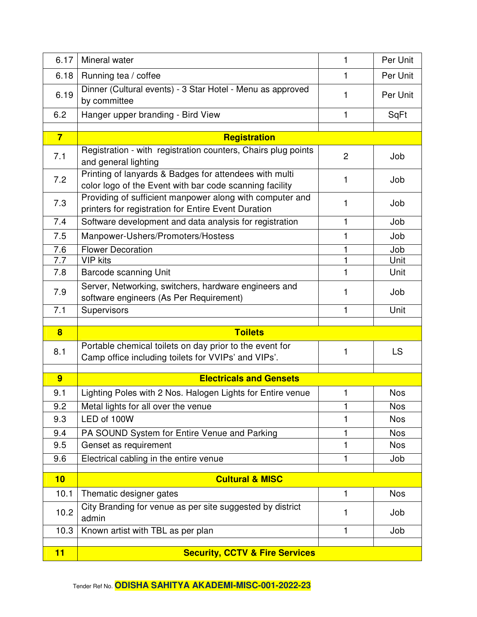| 6.17           | Mineral water                                                                                                     | 1              | Per Unit   |
|----------------|-------------------------------------------------------------------------------------------------------------------|----------------|------------|
| 6.18           | Running tea / coffee                                                                                              | 1              | Per Unit   |
| 6.19           | Dinner (Cultural events) - 3 Star Hotel - Menu as approved<br>by committee                                        | 1              | Per Unit   |
| 6.2            | Hanger upper branding - Bird View                                                                                 | 1              | SqFt       |
|                |                                                                                                                   |                |            |
| $\overline{7}$ | <b>Registration</b>                                                                                               |                |            |
| 7.1            | Registration - with registration counters, Chairs plug points<br>and general lighting                             | $\overline{2}$ | Job        |
| 7.2            | Printing of lanyards & Badges for attendees with multi<br>color logo of the Event with bar code scanning facility | 1              | Job        |
| 7.3            | Providing of sufficient manpower along with computer and<br>printers for registration for Entire Event Duration   | 1              | Job        |
| 7.4            | Software development and data analysis for registration                                                           | 1              | Job        |
| 7.5            | Manpower-Ushers/Promoters/Hostess                                                                                 | 1              | Job        |
| 7.6            | <b>Flower Decoration</b>                                                                                          | 1              | Job        |
| 7.7            | <b>VIP</b> kits                                                                                                   | 1              | Unit       |
| 7.8            | <b>Barcode scanning Unit</b>                                                                                      | 1              | Unit       |
| 7.9            | Server, Networking, switchers, hardware engineers and<br>software engineers (As Per Requirement)                  | 1              | Job        |
| 7.1            | Supervisors                                                                                                       | 1              | Unit       |
|                |                                                                                                                   |                |            |
| $\bf{8}$       | <b>Toilets</b>                                                                                                    |                |            |
| 8.1            | Portable chemical toilets on day prior to the event for<br>Camp office including toilets for VVIPs' and VIPs'.    | 1              | LS         |
| $\overline{9}$ | <b>Electricals and Gensets</b>                                                                                    |                |            |
| 9.1            | Lighting Poles with 2 Nos. Halogen Lights for Entire venue                                                        | 1              | <b>Nos</b> |
| 9.2            | Metal lights for all over the venue                                                                               | 1              | <b>Nos</b> |
| 9.3            | LED of 100W                                                                                                       |                | <b>Nos</b> |
| 9.4            | PA SOUND System for Entire Venue and Parking                                                                      |                | <b>Nos</b> |
| 9.5            | Genset as requirement                                                                                             | 1              | <b>Nos</b> |
| 9.6            | Electrical cabling in the entire venue                                                                            | 1              | Job        |
|                |                                                                                                                   |                |            |
| 10             | <b>Cultural &amp; MISC</b>                                                                                        |                |            |
| 10.1           | Thematic designer gates                                                                                           | 1              | <b>Nos</b> |
| 10.2           | City Branding for venue as per site suggested by district<br>admin                                                | 1              | Job        |
| 10.3           |                                                                                                                   |                |            |
|                | Known artist with TBL as per plan                                                                                 | 1              | Job        |
| 11             | <b>Security, CCTV &amp; Fire Services</b>                                                                         |                |            |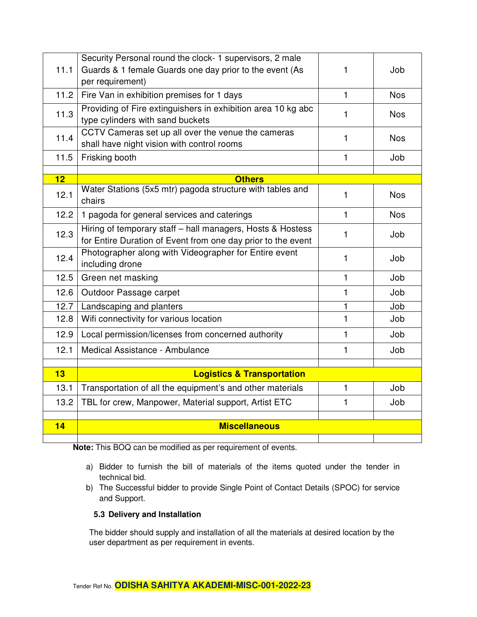| 11.1 | Security Personal round the clock- 1 supervisors, 2 male<br>Guards & 1 female Guards one day prior to the event (As<br>per requirement) | 1 | Job        |
|------|-----------------------------------------------------------------------------------------------------------------------------------------|---|------------|
| 11.2 | Fire Van in exhibition premises for 1 days                                                                                              | 1 | <b>Nos</b> |
| 11.3 | Providing of Fire extinguishers in exhibition area 10 kg abc<br>type cylinders with sand buckets                                        | 1 | <b>Nos</b> |
| 11.4 | CCTV Cameras set up all over the venue the cameras<br>shall have night vision with control rooms                                        | 1 | <b>Nos</b> |
| 11.5 | Frisking booth                                                                                                                          | 1 | Job        |
| 12   | <b>Others</b>                                                                                                                           |   |            |
| 12.1 | Water Stations (5x5 mtr) pagoda structure with tables and<br>chairs                                                                     | 1 | <b>Nos</b> |
| 12.2 | 1 pagoda for general services and caterings                                                                                             | 1 | <b>Nos</b> |
| 12.3 | Hiring of temporary staff - hall managers, Hosts & Hostess<br>for Entire Duration of Event from one day prior to the event              | 1 | Job        |
| 12.4 | Photographer along with Videographer for Entire event<br>including drone                                                                | 1 | Job        |
| 12.5 | Green net masking                                                                                                                       | 1 | Job        |
| 12.6 | Outdoor Passage carpet                                                                                                                  | 1 | Job        |
| 12.7 | Landscaping and planters                                                                                                                | 1 | Job        |
| 12.8 | Wifi connectivity for various location                                                                                                  | 1 | Job        |
| 12.9 | Local permission/licenses from concerned authority                                                                                      | 1 | Job        |
| 12.1 | Medical Assistance - Ambulance                                                                                                          | 1 | Job        |
|      |                                                                                                                                         |   |            |
| 13   | <b>Logistics &amp; Transportation</b>                                                                                                   |   |            |
| 13.1 | Transportation of all the equipment's and other materials                                                                               | 1 | Job        |
| 13.2 | TBL for crew, Manpower, Material support, Artist ETC                                                                                    | 1 | Job        |
| 14   | <b>Miscellaneous</b>                                                                                                                    |   |            |
|      |                                                                                                                                         |   |            |

**Note:** This BOQ can be modified as per requirement of events.

- a) Bidder to furnish the bill of materials of the items quoted under the tender in technical bid.
- b) The Successful bidder to provide Single Point of Contact Details (SPOC) for service and Support.

#### **5.3 Delivery and Installation**

The bidder should supply and installation of all the materials at desired location by the user department as per requirement in events.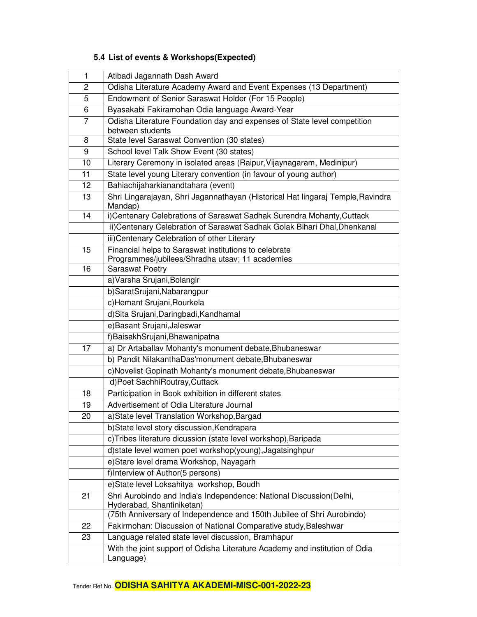| 1              | Atibadi Jagannath Dash Award                                                                             |  |  |
|----------------|----------------------------------------------------------------------------------------------------------|--|--|
| 2              | Odisha Literature Academy Award and Event Expenses (13 Department)                                       |  |  |
| 5              | Endowment of Senior Saraswat Holder (For 15 People)                                                      |  |  |
| 6              | Byasakabi Fakiramohan Odia language Award-Year                                                           |  |  |
| $\overline{7}$ | Odisha Literature Foundation day and expenses of State level competition<br>between students             |  |  |
| 8              | State level Saraswat Convention (30 states)                                                              |  |  |
| 9              | School level Talk Show Event (30 states)                                                                 |  |  |
| 10             | Literary Ceremony in isolated areas (Raipur, Vijaynagaram, Medinipur)                                    |  |  |
| 11             | State level young Literary convention (in favour of young author)                                        |  |  |
| 12             | Bahiachijaharkianandtahara (event)                                                                       |  |  |
| 13             | Shri Lingarajayan, Shri Jagannathayan (Historical Hat lingaraj Temple, Ravindra<br>Mandap)               |  |  |
| 14             | i)Centenary Celebrations of Saraswat Sadhak Surendra Mohanty, Cuttack                                    |  |  |
|                | ii)Centenary Celebration of Saraswat Sadhak Golak Bihari Dhal, Dhenkanal                                 |  |  |
|                | iii) Centenary Celebration of other Literary                                                             |  |  |
| 15             | Financial helps to Saraswat institutions to celebrate<br>Programmes/jubilees/Shradha utsav; 11 academies |  |  |
| 16             | <b>Saraswat Poetry</b>                                                                                   |  |  |
|                | a) Varsha Srujani, Bolangir                                                                              |  |  |
|                | b)SaratSrujani,Nabarangpur                                                                               |  |  |
|                | c)Hemant Srujani, Rourkela                                                                               |  |  |
|                | d)Sita Srujani, Daringbadi, Kandhamal                                                                    |  |  |
|                | e) Basant Srujani, Jaleswar                                                                              |  |  |
|                | f)BaisakhSrujani,Bhawanipatna                                                                            |  |  |
| 17             | a) Dr Artaballav Mohanty's monument debate, Bhubaneswar                                                  |  |  |
|                | b) Pandit NilakanthaDas'monument debate, Bhubaneswar                                                     |  |  |
|                | c)Novelist Gopinath Mohanty's monument debate, Bhubaneswar                                               |  |  |
|                | d)Poet SachhiRoutray, Cuttack                                                                            |  |  |
| 18             | Participation in Book exhibition in different states                                                     |  |  |
| 19             | Advertisement of Odia Literature Journal                                                                 |  |  |
| 20             | a)State level Translation Workshop, Bargad                                                               |  |  |
|                | b)State level story discussion, Kendrapara                                                               |  |  |
|                | c)Tribes literature dicussion (state level workshop), Baripada                                           |  |  |
|                | d) state level women poet workshop(young), Jagatsinghpur                                                 |  |  |
|                | e)Stare level drama Workshop, Nayagarh                                                                   |  |  |
|                | f)Interview of Author(5 persons)                                                                         |  |  |
|                | e)State level Loksahitya workshop, Boudh                                                                 |  |  |
| 21             | Shri Aurobindo and India's Independence: National Discussion(Delhi,<br>Hyderabad, Shantiniketan)         |  |  |
|                | (75th Anniversary of Independence and 150th Jubilee of Shri Aurobindo)                                   |  |  |
| 22             | Fakirmohan: Discussion of National Comparative study, Baleshwar                                          |  |  |
| 23             | Language related state level discussion, Bramhapur                                                       |  |  |
|                | With the joint support of Odisha Literature Academy and institution of Odia<br>Language)                 |  |  |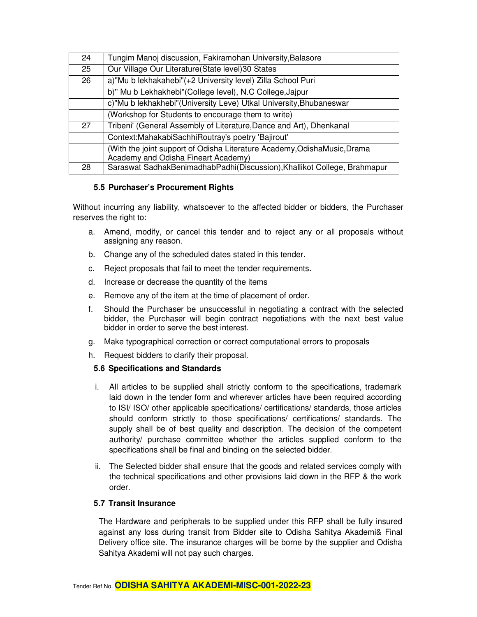| 24 | Tungim Manoj discussion, Fakiramohan University, Balasore                |  |
|----|--------------------------------------------------------------------------|--|
| 25 | Our Village Our Literature (State level) 30 States                       |  |
| 26 | a)"Mu b lekhakahebi"(+2 University level) Zilla School Puri              |  |
|    | b)" Mu b Lekhakhebi"(College level), N.C College, Jajpur                 |  |
|    | c)"Mu b lekhakhebi"(University Leve) Utkal University, Bhubaneswar       |  |
|    | (Workshop for Students to encourage them to write)                       |  |
| 27 | Tribeni' (General Assembly of Literature, Dance and Art), Dhenkanal      |  |
|    | Context: Mahakabi Sachhi Routray's poetry 'Bajirout'                     |  |
|    | (With the joint support of Odisha Literature Academy, OdishaMusic, Drama |  |
|    | Academy and Odisha Fineart Academy)                                      |  |
| 28 | Saraswat SadhakBenimadhabPadhi(Discussion), Khallikot College, Brahmapur |  |

#### **5.5 Purchaser's Procurement Rights**

Without incurring any liability, whatsoever to the affected bidder or bidders, the Purchaser reserves the right to:

- a. Amend, modify, or cancel this tender and to reject any or all proposals without assigning any reason.
- b. Change any of the scheduled dates stated in this tender.
- c. Reject proposals that fail to meet the tender requirements.
- d. Increase or decrease the quantity of the items
- e. Remove any of the item at the time of placement of order.
- f. Should the Purchaser be unsuccessful in negotiating a contract with the selected bidder, the Purchaser will begin contract negotiations with the next best value bidder in order to serve the best interest.
- g. Make typographical correction or correct computational errors to proposals
- h. Request bidders to clarify their proposal.

#### **5.6 Specifications and Standards**

- i. All articles to be supplied shall strictly conform to the specifications, trademark laid down in the tender form and wherever articles have been required according to ISI/ ISO/ other applicable specifications/ certifications/ standards, those articles should conform strictly to those specifications/ certifications/ standards. The supply shall be of best quality and description. The decision of the competent authority/ purchase committee whether the articles supplied conform to the specifications shall be final and binding on the selected bidder.
- ii. The Selected bidder shall ensure that the goods and related services comply with the technical specifications and other provisions laid down in the RFP & the work order.

#### **5.7 Transit Insurance**

The Hardware and peripherals to be supplied under this RFP shall be fully insured against any loss during transit from Bidder site to Odisha Sahitya Akademi& Final Delivery office site. The insurance charges will be borne by the supplier and Odisha Sahitya Akademi will not pay such charges.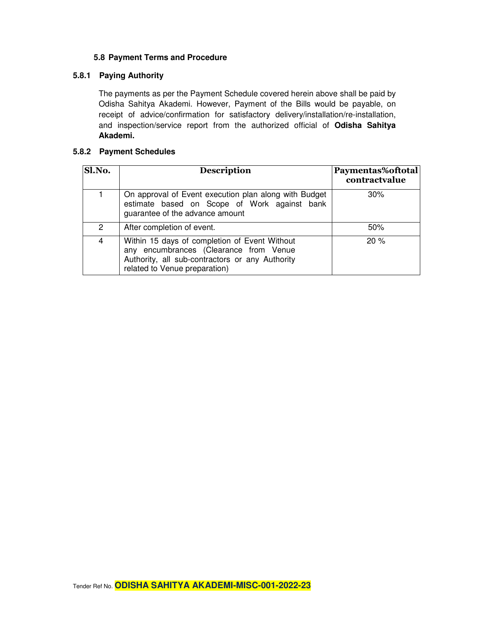#### **5.8 Payment Terms and Procedure**

#### **5.8.1 Paying Authority**

The payments as per the Payment Schedule covered herein above shall be paid by Odisha Sahitya Akademi. However, Payment of the Bills would be payable, on receipt of advice/confirmation for satisfactory delivery/installation/re-installation, and inspection/service report from the authorized official of **Odisha Sahitya Akademi.**

#### **5.8.2 Payment Schedules**

| Sl.No.        | <b>Description</b>                                                                                                                                                          | Paymentas%oftotal<br>contractvalue |
|---------------|-----------------------------------------------------------------------------------------------------------------------------------------------------------------------------|------------------------------------|
|               | On approval of Event execution plan along with Budget<br>estimate based on Scope of Work against bank<br>guarantee of the advance amount                                    | 30%                                |
| $\mathcal{P}$ | After completion of event.                                                                                                                                                  | 50%                                |
| 4             | Within 15 days of completion of Event Without<br>any encumbrances (Clearance from Venue<br>Authority, all sub-contractors or any Authority<br>related to Venue preparation) | 20%                                |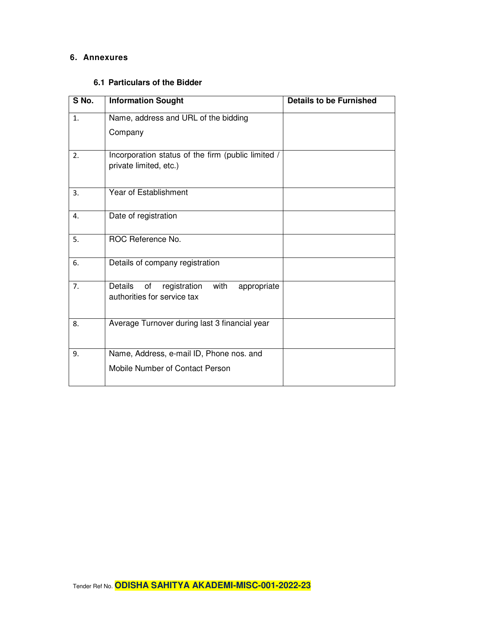#### **6. Annexures**

#### **6.1 Particulars of the Bidder**

| S No.          | <b>Information Sought</b>                                                                  | <b>Details to be Furnished</b> |
|----------------|--------------------------------------------------------------------------------------------|--------------------------------|
| $\mathbf{1}$ . | Name, address and URL of the bidding                                                       |                                |
|                | Company                                                                                    |                                |
| 2.             | Incorporation status of the firm (public limited /<br>private limited, etc.)               |                                |
| 3.             | Year of Establishment                                                                      |                                |
| 4.             | Date of registration                                                                       |                                |
| 5.             | ROC Reference No.                                                                          |                                |
| 6.             | Details of company registration                                                            |                                |
| 7.             | <b>Details</b><br>with<br>of<br>registration<br>appropriate<br>authorities for service tax |                                |
| 8.             | Average Turnover during last 3 financial year                                              |                                |
| 9.             | Name, Address, e-mail ID, Phone nos. and                                                   |                                |
|                | Mobile Number of Contact Person                                                            |                                |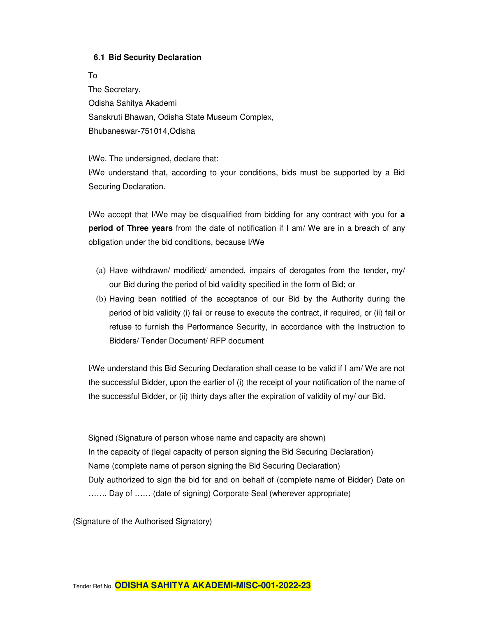#### **6.1 Bid Security Declaration**

To The Secretary, Odisha Sahitya Akademi Sanskruti Bhawan, Odisha State Museum Complex, Bhubaneswar-751014,Odisha

I/We. The undersigned, declare that: I/We understand that, according to your conditions, bids must be supported by a Bid Securing Declaration.

I/We accept that I/We may be disqualified from bidding for any contract with you for **a period of Three years** from the date of notification if I am/ We are in a breach of any obligation under the bid conditions, because I/We

- (a) Have withdrawn/ modified/ amended, impairs of derogates from the tender, my/ our Bid during the period of bid validity specified in the form of Bid; or
- (b) Having been notified of the acceptance of our Bid by the Authority during the period of bid validity (i) fail or reuse to execute the contract, if required, or (ii) fail or refuse to furnish the Performance Security, in accordance with the Instruction to Bidders/ Tender Document/ RFP document

I/We understand this Bid Securing Declaration shall cease to be valid if I am/ We are not the successful Bidder, upon the earlier of (i) the receipt of your notification of the name of the successful Bidder, or (ii) thirty days after the expiration of validity of my/ our Bid.

Signed (Signature of person whose name and capacity are shown) In the capacity of (legal capacity of person signing the Bid Securing Declaration) Name (complete name of person signing the Bid Securing Declaration) Duly authorized to sign the bid for and on behalf of (complete name of Bidder) Date on ……. Day of …… (date of signing) Corporate Seal (wherever appropriate)

(Signature of the Authorised Signatory)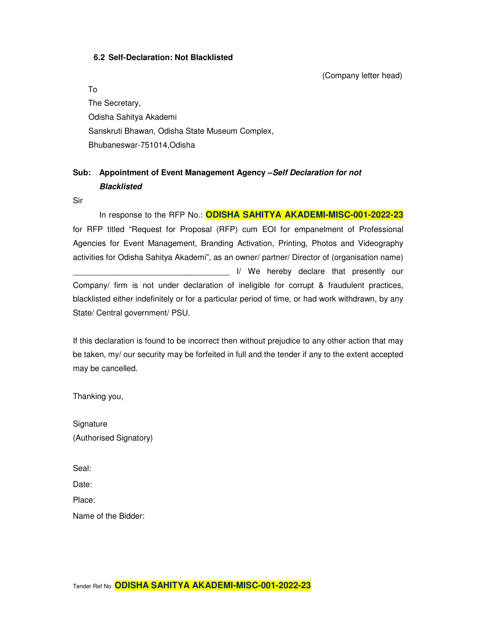#### **6.2 Self-Declaration: Not Blacklisted**

(Company letter head)

To

The Secretary, Odisha Sahitya Akademi Sanskruti Bhawan, Odisha State Museum Complex, Bhubaneswar-751014,Odisha

### **Sub: Appointment of Event Management Agency –Self Declaration for not Blacklisted**

Sir

In response to the RFP No.: **ODISHA SAHITYA AKADEMI-MISC-001-2022-23** for RFP titled "Request for Proposal (RFP) cum EOI for empanelment of Professional Agencies for Event Management, Branding Activation, Printing, Photos and Videography activities for Odisha Sahitya Akademi", as an owner/ partner/ Director of (organisation name) I/ We hereby declare that presently our Company/ firm is not under declaration of ineligible for corrupt & fraudulent practices, blacklisted either indefinitely or for a particular period of time, or had work withdrawn, by any State/ Central government/ PSU.

If this declaration is found to be incorrect then without prejudice to any other action that may be taken, my/ our security may be forfeited in full and the tender if any to the extent accepted may be cancelled.

Thanking you,

**Signature** (Authorised Signatory)

Seal:

Date:

Place:

Name of the Bidder: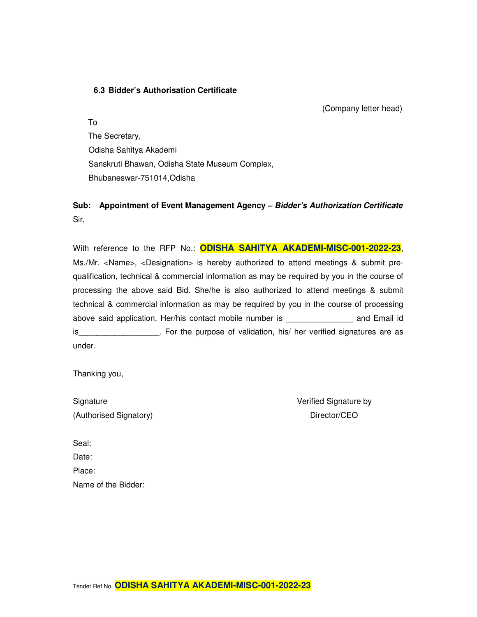#### **6.3 Bidder's Authorisation Certificate**

(Company letter head)

To The Secretary, Odisha Sahitya Akademi Sanskruti Bhawan, Odisha State Museum Complex, Bhubaneswar-751014,Odisha

**Sub: Appointment of Event Management Agency – Bidder's Authorization Certificate** Sir,

With reference to the RFP No.: **ODISHA SAHITYA AKADEMI-MISC-001-2022-23**, Ms./Mr. <Name>, <Designation> is hereby authorized to attend meetings & submit prequalification, technical & commercial information as may be required by you in the course of processing the above said Bid. She/he is also authorized to attend meetings & submit technical & commercial information as may be required by you in the course of processing above said application. Her/his contact mobile number is entitled and Email id is\_\_\_\_\_\_\_\_\_\_\_\_\_\_\_\_\_\_. For the purpose of validation, his/ her verified signatures are as under.

Thanking you,

| Signature              |  |
|------------------------|--|
| (Authorised Signatory) |  |

Verified Signature by Director/CEO

| Seal:               |
|---------------------|
| Date:               |
| Place:              |
| Name of the Bidder: |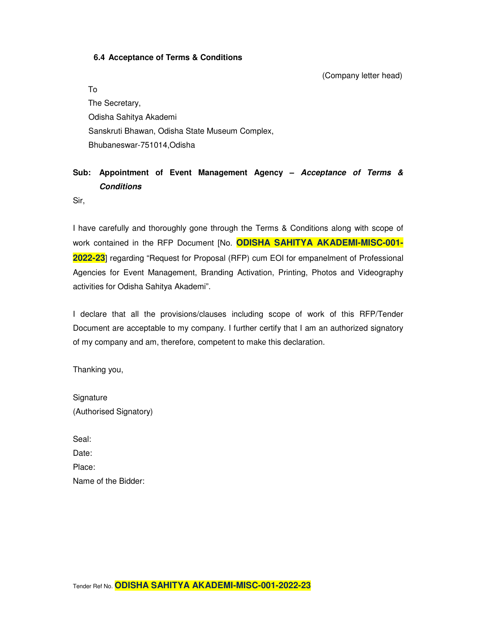#### **6.4 Acceptance of Terms & Conditions**

(Company letter head)

To The Secretary, Odisha Sahitya Akademi Sanskruti Bhawan, Odisha State Museum Complex, Bhubaneswar-751014,Odisha

### **Sub: Appointment of Event Management Agency – Acceptance of Terms & Conditions**

Sir,

I have carefully and thoroughly gone through the Terms & Conditions along with scope of work contained in the RFP Document [No. **ODISHA SAHITYA AKADEMI-MISC-001- 2022-23**] regarding "Request for Proposal (RFP) cum EOI for empanelment of Professional Agencies for Event Management, Branding Activation, Printing, Photos and Videography activities for Odisha Sahitya Akademi".

I declare that all the provisions/clauses including scope of work of this RFP/Tender Document are acceptable to my company. I further certify that I am an authorized signatory of my company and am, therefore, competent to make this declaration.

Thanking you,

| Signature              |
|------------------------|
| (Authorised Signatory) |

| Seal:               |
|---------------------|
| Date:               |
| Place:              |
| Name of the Bidder: |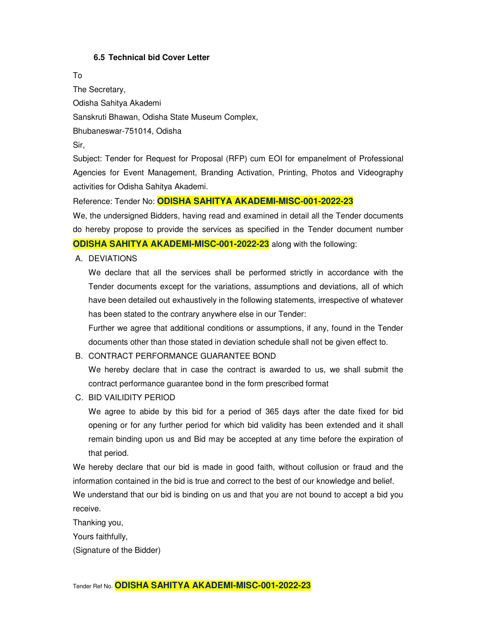#### **6.5 Technical bid Cover Letter**

To

The Secretary, Odisha Sahitya Akademi Sanskruti Bhawan, Odisha State Museum Complex, Bhubaneswar-751014, Odisha Sir,

Subject: Tender for Request for Proposal (RFP) cum EOI for empanelment of Professional Agencies for Event Management, Branding Activation, Printing, Photos and Videography activities for Odisha Sahitya Akademi.

Reference: Tender No: **ODISHA SAHITYA AKADEMI-MISC-001-2022-23**

We, the undersigned Bidders, having read and examined in detail all the Tender documents do hereby propose to provide the services as specified in the Tender document number **ODISHA SAHITYA AKADEMI-MISC-001-2022-23** along with the following:

A. DEVIATIONS

We declare that all the services shall be performed strictly in accordance with the Tender documents except for the variations, assumptions and deviations, all of which have been detailed out exhaustively in the following statements, irrespective of whatever has been stated to the contrary anywhere else in our Tender:

Further we agree that additional conditions or assumptions, if any, found in the Tender documents other than those stated in deviation schedule shall not be given effect to.

#### B. CONTRACT PERFORMANCE GUARANTEE BOND

We hereby declare that in case the contract is awarded to us, we shall submit the contract performance guarantee bond in the form prescribed format

C. BID VAILIDITY PERIOD

We agree to abide by this bid for a period of 365 days after the date fixed for bid opening or for any further period for which bid validity has been extended and it shall remain binding upon us and Bid may be accepted at any time before the expiration of that period.

We hereby declare that our bid is made in good faith, without collusion or fraud and the information contained in the bid is true and correct to the best of our knowledge and belief.

We understand that our bid is binding on us and that you are not bound to accept a bid you receive.

Thanking you,

Yours faithfully,

(Signature of the Bidder)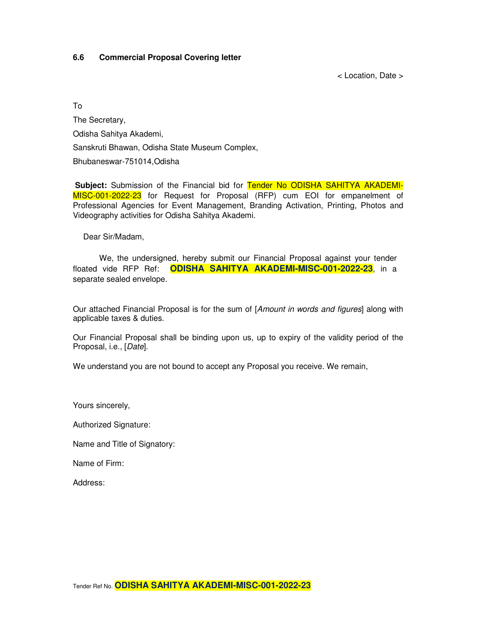#### **6.6 Commercial Proposal Covering letter**

< Location, Date >

To

The Secretary, Odisha Sahitya Akademi, Sanskruti Bhawan, Odisha State Museum Complex, Bhubaneswar-751014,Odisha

Subject: Submission of the Financial bid for Tender No ODISHA SAHITYA AKADEMI-MISC-001-2022-23 for Request for Proposal (RFP) cum EOI for empanelment of Professional Agencies for Event Management, Branding Activation, Printing, Photos and Videography activities for Odisha Sahitya Akademi.

Dear Sir/Madam,

We, the undersigned, hereby submit our Financial Proposal against your tender floated vide RFP Ref: **ODISHA SAHITYA AKADEMI-MISC-001-2022-23**, in a separate sealed envelope.

Our attached Financial Proposal is for the sum of [Amount in words and figures] along with applicable taxes & duties.

Our Financial Proposal shall be binding upon us, up to expiry of the validity period of the Proposal, i.e., [Date].

We understand you are not bound to accept any Proposal you receive. We remain,

Yours sincerely,

Authorized Signature:

Name and Title of Signatory:

Name of Firm:

Address: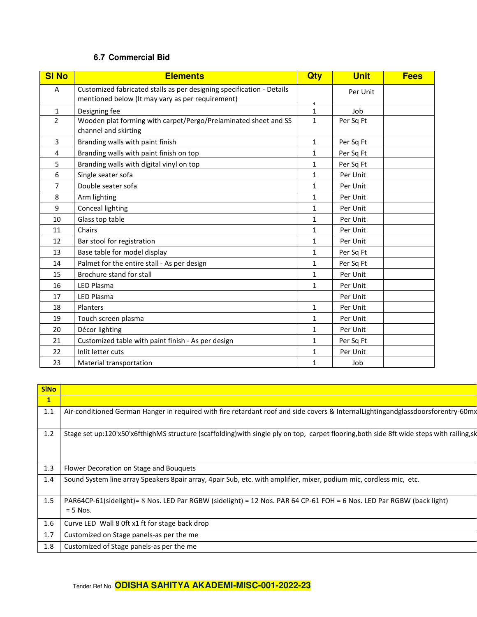#### **6.7 Commercial Bid**

| <b>SI No</b>   | <b>Elements</b>                                                          |              | <b>Unit</b> | <b>Fees</b> |
|----------------|--------------------------------------------------------------------------|--------------|-------------|-------------|
| A              | Customized fabricated stalls as per designing specification - Details    |              | Per Unit    |             |
|                | mentioned below (It may vary as per requirement)                         |              |             |             |
| 1              | Designing fee                                                            |              | Job         |             |
| $\overline{2}$ | Wooden plat forming with carpet/Pergo/Prelaminated sheet and SS          | $\mathbf{1}$ | Per Sq Ft   |             |
|                | channel and skirting                                                     |              |             |             |
| 3              | Branding walls with paint finish                                         | 1            | Per Sq Ft   |             |
| 4              | Branding walls with paint finish on top                                  | 1            | Per Sq Ft   |             |
| 5              | Branding walls with digital vinyl on top<br>1<br>Per Sq Ft               |              |             |             |
| 6              | Single seater sofa<br>Per Unit<br>1                                      |              |             |             |
| 7              | Double seater sofa<br>$\mathbf{1}$<br>Per Unit                           |              |             |             |
| 8              | Arm lighting<br>Per Unit<br>1                                            |              |             |             |
| 9              | <b>Conceal lighting</b>                                                  |              | Per Unit    |             |
| 10             | Glass top table                                                          |              | Per Unit    |             |
| 11             | Chairs                                                                   |              | Per Unit    |             |
| 12             | Bar stool for registration                                               |              | Per Unit    |             |
| 13             | Base table for model display<br>Per Sq Ft<br>1                           |              |             |             |
| 14             | Palmet for the entire stall - As per design<br>Per Sq Ft<br>$\mathbf{1}$ |              |             |             |
| 15             | Brochure stand for stall                                                 | 1            | Per Unit    |             |
| 16             | <b>LED Plasma</b>                                                        | 1            | Per Unit    |             |
| 17             | <b>LED Plasma</b><br>Per Unit                                            |              |             |             |
| 18             | Per Unit<br>Planters<br>$\mathbf{1}$                                     |              |             |             |
| 19             | Touch screen plasma<br>$\mathbf{1}$                                      |              | Per Unit    |             |
| 20             | Décor lighting<br>1<br>Per Unit                                          |              |             |             |
| 21             | Customized table with paint finish - As per design<br>Per Sq Ft<br>1     |              |             |             |
| 22             | Inlit letter cuts<br>1<br>Per Unit                                       |              |             |             |
| 23             | Material transportation                                                  | 1            | Job         |             |

| $\mathbf{1}$<br>1.1<br>Air-conditioned German Hanger in required with fire retardant roof and side covers & Internal Lightingandglassdoorsforentry-60mx |  |
|---------------------------------------------------------------------------------------------------------------------------------------------------------|--|
|                                                                                                                                                         |  |
|                                                                                                                                                         |  |
| 1.2<br>Stage set up:120'x50'x6fthighMS structure (scaffolding)with single ply on top, carpet flooring, both side 8ft wide steps with railing, sk        |  |
| 1.3<br>Flower Decoration on Stage and Bouquets                                                                                                          |  |
| 1.4<br>Sound System line array Speakers 8pair array, 4pair Sub, etc. with amplifier, mixer, podium mic, cordless mic, etc.                              |  |
| 1.5<br>PAR64CP-61(sidelight)= 8 Nos. LED Par RGBW (sidelight) = 12 Nos. PAR 64 CP-61 FOH = 6 Nos. LED Par RGBW (back light)<br>$= 5$ Nos.               |  |
| 1.6<br>Curve LED Wall 8 Oft x1 ft for stage back drop                                                                                                   |  |
| 1.7<br>Customized on Stage panels-as per the me                                                                                                         |  |
| 1.8<br>Customized of Stage panels-as per the me                                                                                                         |  |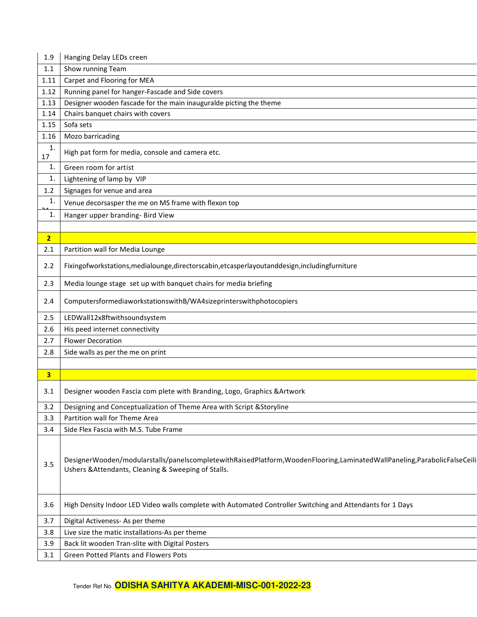| 1.9                                                                       | Hanging Delay LEDs creen                                                                                                                                                      |  |  |
|---------------------------------------------------------------------------|-------------------------------------------------------------------------------------------------------------------------------------------------------------------------------|--|--|
| 1.1                                                                       | Show running Team                                                                                                                                                             |  |  |
| 1.11                                                                      | Carpet and Flooring for MEA                                                                                                                                                   |  |  |
| 1.12                                                                      | Running panel for hanger-Fascade and Side covers                                                                                                                              |  |  |
| 1.13                                                                      | Designer wooden fascade for the main inauguralde picting the theme                                                                                                            |  |  |
| 1.14                                                                      | Chairs banquet chairs with covers                                                                                                                                             |  |  |
| 1.15                                                                      | Sofa sets                                                                                                                                                                     |  |  |
| 1.16                                                                      | Mozo barricading                                                                                                                                                              |  |  |
| $\mathbf{1}$ .<br>17                                                      | High pat form for media, console and camera etc.                                                                                                                              |  |  |
| 1.                                                                        | Green room for artist                                                                                                                                                         |  |  |
| 1.                                                                        | Lightening of lamp by VIP                                                                                                                                                     |  |  |
| 1.2                                                                       | Signages for venue and area                                                                                                                                                   |  |  |
| 1.                                                                        | Venue decorsasper the me on MS frame with flexon top                                                                                                                          |  |  |
| 1.                                                                        | Hanger upper branding- Bird View                                                                                                                                              |  |  |
|                                                                           |                                                                                                                                                                               |  |  |
| $\overline{2}$                                                            |                                                                                                                                                                               |  |  |
| 2.1                                                                       | Partition wall for Media Lounge                                                                                                                                               |  |  |
| 2.2                                                                       | Fixingofworkstations, medialounge, directorscabin, etcasperlayoutanddesign, includingfurniture                                                                                |  |  |
| 2.3                                                                       | Media lounge stage set up with banquet chairs for media briefing                                                                                                              |  |  |
| ComputersformediaworkstationswithB/WA4sizeprinterswithphotocopiers<br>2.4 |                                                                                                                                                                               |  |  |
| 2.5                                                                       | LEDWall12x8ftwithsoundsystem                                                                                                                                                  |  |  |
| 2.6                                                                       | His peed internet connectivity                                                                                                                                                |  |  |
| 2.7                                                                       | <b>Flower Decoration</b>                                                                                                                                                      |  |  |
| 2.8                                                                       | Side walls as per the me on print                                                                                                                                             |  |  |
|                                                                           |                                                                                                                                                                               |  |  |
| 3                                                                         |                                                                                                                                                                               |  |  |
| 3.1                                                                       | Designer wooden Fascia com plete with Branding, Logo, Graphics & Artwork                                                                                                      |  |  |
| 3.2                                                                       | Designing and Conceptualization of Theme Area with Script & Storyline                                                                                                         |  |  |
| 3.3                                                                       | Partition wall for Theme Area                                                                                                                                                 |  |  |
| 3.4                                                                       | Side Flex Fascia with M.S. Tube Frame                                                                                                                                         |  |  |
| 3.5                                                                       | DesignerWooden/modularstalls/panelscompletewithRaisedPlatform,WoodenFlooring,LaminatedWallPaneling,ParabolicFalseCeili<br>Ushers & Attendants, Cleaning & Sweeping of Stalls. |  |  |
| 3.6                                                                       | High Density Indoor LED Video walls complete with Automated Controller Switching and Attendants for 1 Days                                                                    |  |  |
| 3.7                                                                       | Digital Activeness- As per theme                                                                                                                                              |  |  |
| 3.8                                                                       | Live size the matic installations-As per theme                                                                                                                                |  |  |
| 3.9                                                                       | Back lit wooden Tran-slite with Digital Posters                                                                                                                               |  |  |
| 3.1                                                                       | Green Potted Plants and Flowers Pots                                                                                                                                          |  |  |
|                                                                           |                                                                                                                                                                               |  |  |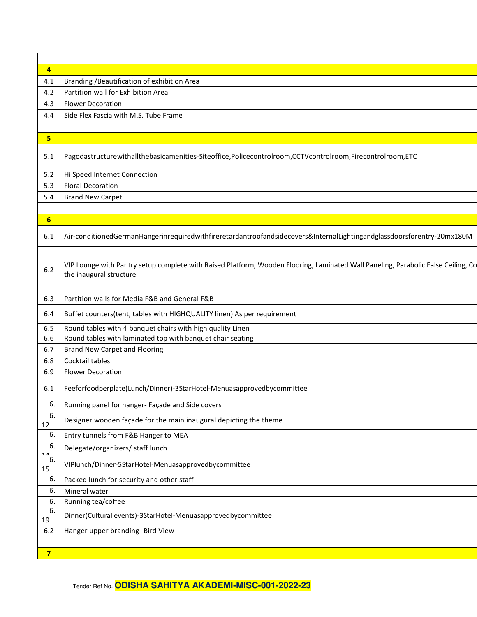| $\overline{\mathbf{4}}$ |                                                                                                                                                              |  |  |
|-------------------------|--------------------------------------------------------------------------------------------------------------------------------------------------------------|--|--|
| 4.1                     | Branding / Beautification of exhibition Area                                                                                                                 |  |  |
| 4.2                     | Partition wall for Exhibition Area                                                                                                                           |  |  |
| 4.3                     | <b>Flower Decoration</b>                                                                                                                                     |  |  |
| 4.4                     | Side Flex Fascia with M.S. Tube Frame                                                                                                                        |  |  |
|                         |                                                                                                                                                              |  |  |
| 5                       |                                                                                                                                                              |  |  |
| 5.1                     | Pagodastructurewithallthebasicamenities-Siteoffice,Policecontrolroom,CCTVcontrolroom,Firecontrolroom,ETC                                                     |  |  |
| 5.2                     | Hi Speed Internet Connection                                                                                                                                 |  |  |
| 5.3                     | <b>Floral Decoration</b>                                                                                                                                     |  |  |
| 5.4                     | <b>Brand New Carpet</b>                                                                                                                                      |  |  |
|                         |                                                                                                                                                              |  |  |
| 6                       |                                                                                                                                                              |  |  |
| 6.1                     | Air-conditionedGermanHangerinrequiredwithfireretardantroofandsidecovers&InternalLightingandglassdoorsforentry-20mx180M                                       |  |  |
| 6.2                     | VIP Lounge with Pantry setup complete with Raised Platform, Wooden Flooring, Laminated Wall Paneling, Parabolic False Ceiling, Co<br>the inaugural structure |  |  |
| 6.3                     | Partition walls for Media F&B and General F&B                                                                                                                |  |  |
| 6.4                     | Buffet counters(tent, tables with HIGHQUALITY linen) As per requirement                                                                                      |  |  |
| 6.5                     | Round tables with 4 banquet chairs with high quality Linen                                                                                                   |  |  |
| 6.6                     | Round tables with laminated top with banquet chair seating                                                                                                   |  |  |
| 6.7                     | <b>Brand New Carpet and Flooring</b>                                                                                                                         |  |  |
| 6.8                     | Cocktail tables                                                                                                                                              |  |  |
| 6.9                     | <b>Flower Decoration</b>                                                                                                                                     |  |  |
| 6.1                     | Feeforfoodperplate(Lunch/Dinner)-3StarHotel-Menuasapprovedbycommittee                                                                                        |  |  |
| 6.                      | Running panel for hanger- Façade and Side covers                                                                                                             |  |  |
| 6.<br>12                | Designer wooden façade for the main inaugural depicting the theme                                                                                            |  |  |
| 6.                      | Entry tunnels from F&B Hanger to MEA                                                                                                                         |  |  |
| 6.                      | Delegate/organizers/ staff lunch                                                                                                                             |  |  |
| 6.<br>15                | VIPlunch/Dinner-5StarHotel-Menuasapprovedbycommittee                                                                                                         |  |  |
| 6.                      | Packed lunch for security and other staff                                                                                                                    |  |  |
| 6.                      | Mineral water                                                                                                                                                |  |  |
| 6.                      | Running tea/coffee                                                                                                                                           |  |  |
| 6.<br>19                | Dinner(Cultural events)-3StarHotel-Menuasapprovedbycommittee                                                                                                 |  |  |
| 6.2                     | Hanger upper branding- Bird View                                                                                                                             |  |  |
|                         |                                                                                                                                                              |  |  |
| $\overline{\mathbf{z}}$ |                                                                                                                                                              |  |  |

Tender Ref No. **ODISHA SAHITYA AKADEMI-MISC-001-2022-23**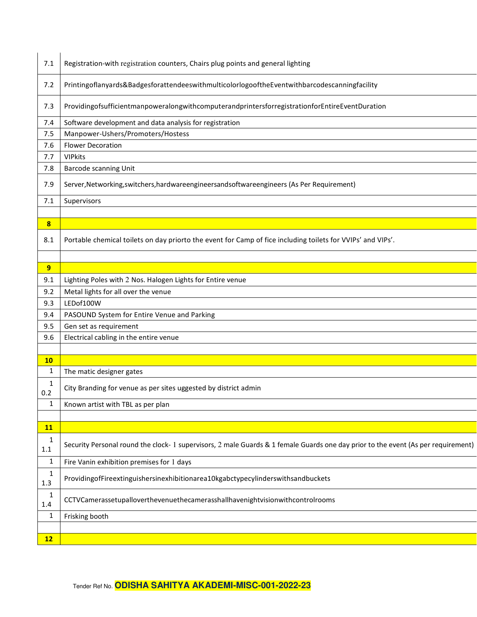| 7.1                 | Registration-with registration counters, Chairs plug points and general lighting                                                 |  |
|---------------------|----------------------------------------------------------------------------------------------------------------------------------|--|
| 7.2                 | Printingoflanyards&BadgesforattendeeswithmulticolorlogooftheEventwithbarcodescanningfacility                                     |  |
| 7.3                 | ProvidingofsufficientmanpoweralongwithcomputerandprintersforregistrationforEntireEventDuration                                   |  |
| 7.4                 | Software development and data analysis for registration                                                                          |  |
| 7.5                 | Manpower-Ushers/Promoters/Hostess                                                                                                |  |
| 7.6                 | <b>Flower Decoration</b>                                                                                                         |  |
| 7.7                 | <b>VIPkits</b>                                                                                                                   |  |
| 7.8                 | <b>Barcode scanning Unit</b>                                                                                                     |  |
| 7.9                 | Server, Networking, switchers, hardwareengineers and softwareengineers (As Per Requirement)                                      |  |
| 7.1                 | Supervisors                                                                                                                      |  |
|                     |                                                                                                                                  |  |
| $\boldsymbol{8}$    |                                                                                                                                  |  |
| 8.1                 | Portable chemical toilets on day priorto the event for Camp of fice including toilets for VVIPs' and VIPs'.                      |  |
|                     |                                                                                                                                  |  |
| 9                   |                                                                                                                                  |  |
| 9.1                 | Lighting Poles with 2 Nos. Halogen Lights for Entire venue                                                                       |  |
| 9.2                 | Metal lights for all over the venue                                                                                              |  |
| 9.3                 | LEDof100W                                                                                                                        |  |
| 9.4                 | PASOUND System for Entire Venue and Parking                                                                                      |  |
| 9.5                 | Gen set as requirement                                                                                                           |  |
| 9.6                 | Electrical cabling in the entire venue                                                                                           |  |
|                     |                                                                                                                                  |  |
| 10                  |                                                                                                                                  |  |
| 1                   | The matic designer gates                                                                                                         |  |
| 1<br>0.2            | City Branding for venue as per sites uggested by district admin                                                                  |  |
| 1                   | Known artist with TBL as per plan                                                                                                |  |
|                     |                                                                                                                                  |  |
| 11                  |                                                                                                                                  |  |
| 1<br>$1.1\,$        | Security Personal round the clock-1 supervisors, 2 male Guards & 1 female Guards one day prior to the event (As per requirement) |  |
| $\mathbf{1}$        | Fire Vanin exhibition premises for 1 days                                                                                        |  |
| $\mathbf{1}$<br>1.3 | ProvidingofFireextinguishersinexhibitionarea10kgabctypecylinderswithsandbuckets                                                  |  |
| 1<br>1.4            | CCTVCamerassetupalloverthevenuethecamerasshallhavenightvisionwithcontrolrooms                                                    |  |
| $\mathbf{1}$        | Frisking booth                                                                                                                   |  |
|                     |                                                                                                                                  |  |
| 12                  |                                                                                                                                  |  |
|                     |                                                                                                                                  |  |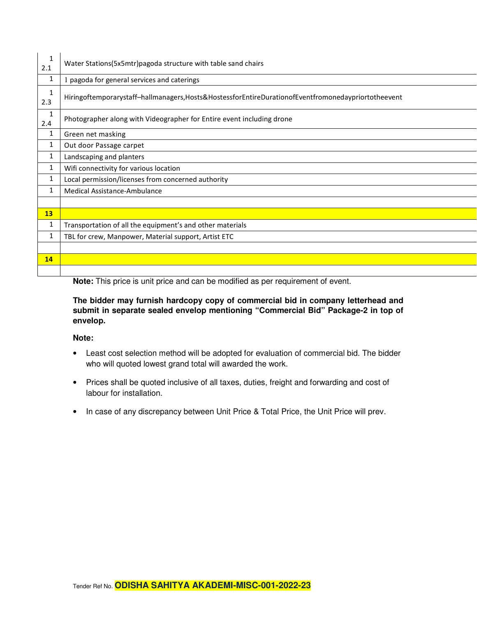| $\mathbf{1}$<br>2.1 | Water Stations(5x5mtr)pagoda structure with table sand chairs                                       |  |  |
|---------------------|-----------------------------------------------------------------------------------------------------|--|--|
| 1                   | 1 pagoda for general services and caterings                                                         |  |  |
| $\mathbf{1}$<br>2.3 | Hiringoftemporarystaff-hallmanagers, Hosts&HostessforEntireDurationofEventfromonedaypriortotheevent |  |  |
| $\mathbf{1}$<br>2.4 | Photographer along with Videographer for Entire event including drone                               |  |  |
| 1                   | Green net masking                                                                                   |  |  |
| $\mathbf{1}$        | Out door Passage carpet                                                                             |  |  |
| $\mathbf{1}$        | Landscaping and planters                                                                            |  |  |
| $\mathbf{1}$        | Wifi connectivity for various location                                                              |  |  |
| 1                   | Local permission/licenses from concerned authority                                                  |  |  |
| 1                   | <b>Medical Assistance-Ambulance</b>                                                                 |  |  |
|                     |                                                                                                     |  |  |
| 13                  |                                                                                                     |  |  |
| 1                   | Transportation of all the equipment's and other materials                                           |  |  |
| 1                   | TBL for crew, Manpower, Material support, Artist ETC                                                |  |  |
|                     |                                                                                                     |  |  |
| 14                  |                                                                                                     |  |  |
|                     |                                                                                                     |  |  |

**Note:** This price is unit price and can be modified as per requirement of event.

**The bidder may furnish hardcopy copy of commercial bid in company letterhead and submit in separate sealed envelop mentioning "Commercial Bid" Package-2 in top of envelop.** 

#### **Note:**

- Least cost selection method will be adopted for evaluation of commercial bid. The bidder who will quoted lowest grand total will awarded the work.
- Prices shall be quoted inclusive of all taxes, duties, freight and forwarding and cost of labour for installation.
- In case of any discrepancy between Unit Price & Total Price, the Unit Price will prev.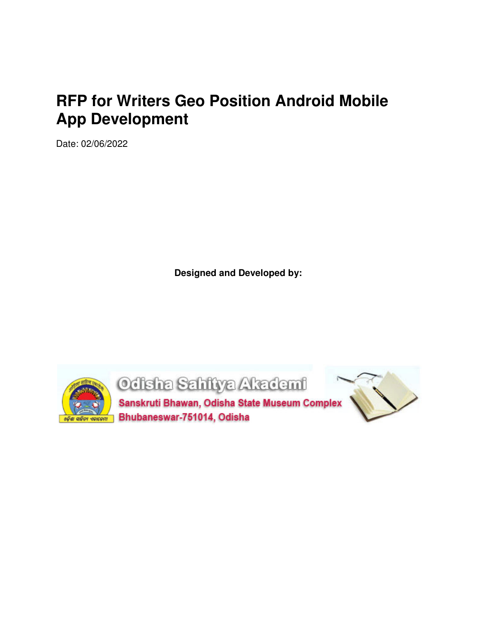# **RFP for Writers Geo Position Android Mobile App Development**

Date: 02/06/2022

**Designed and Developed by:** 

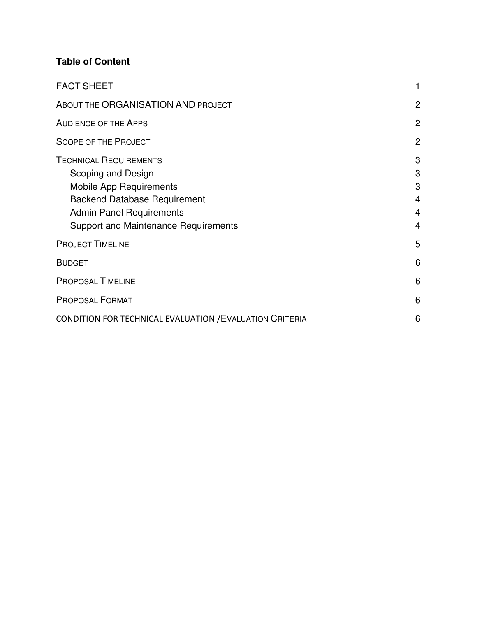### **Table of Content**

| <b>FACT SHEET</b>                                                                                                                                                                                              |                            |
|----------------------------------------------------------------------------------------------------------------------------------------------------------------------------------------------------------------|----------------------------|
| ABOUT THE ORGANISATION AND PROJECT                                                                                                                                                                             | $\overline{2}$             |
| <b>AUDIENCE OF THE APPS</b>                                                                                                                                                                                    | $\overline{2}$             |
| <b>SCOPE OF THE PROJECT</b>                                                                                                                                                                                    | $\overline{2}$             |
| <b>TECHNICAL REQUIREMENTS</b><br>Scoping and Design<br><b>Mobile App Requirements</b><br><b>Backend Database Requirement</b><br><b>Admin Panel Requirements</b><br><b>Support and Maintenance Requirements</b> | 3<br>3<br>3<br>4<br>4<br>4 |
| <b>PROJECT TIMELINE</b>                                                                                                                                                                                        | 5                          |
| <b>BUDGET</b>                                                                                                                                                                                                  | 6                          |
| <b>PROPOSAL TIMELINE</b>                                                                                                                                                                                       | 6                          |
| <b>PROPOSAL FORMAT</b>                                                                                                                                                                                         | 6                          |
| <b>CONDITION FOR TECHNICAL EVALUATION / EVALUATION CRITERIA</b>                                                                                                                                                | 6                          |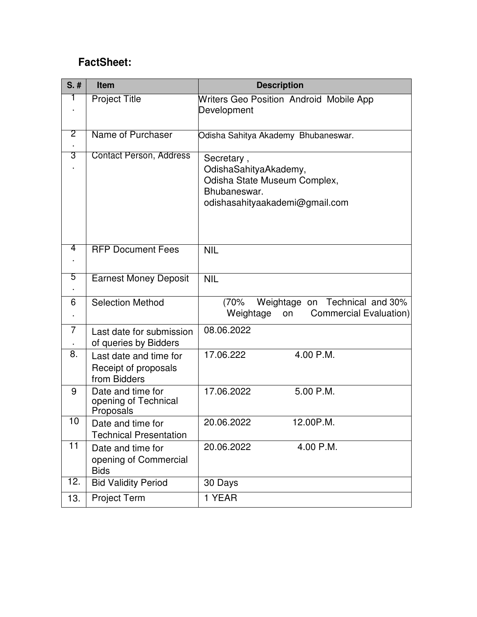# **FactSheet:**

| $S.$ # | <b>Item</b>                                                    | <b>Description</b>                                                                                                    |
|--------|----------------------------------------------------------------|-----------------------------------------------------------------------------------------------------------------------|
| 1      | <b>Project Title</b>                                           | Writers Geo Position Android Mobile App<br>Development                                                                |
| 2      | Name of Purchaser                                              | Odisha Sahitya Akademy Bhubaneswar.                                                                                   |
| 3      | <b>Contact Person, Address</b>                                 | Secretary,<br>OdishaSahityaAkademy,<br>Odisha State Museum Complex,<br>Bhubaneswar.<br>odishasahityaakademi@gmail.com |
| 4      | <b>RFP Document Fees</b>                                       | <b>NIL</b>                                                                                                            |
| 5      | <b>Earnest Money Deposit</b>                                   | <b>NIL</b>                                                                                                            |
| 6      | <b>Selection Method</b>                                        | Weightage on Technical and 30%<br>(70%<br>Weightage<br>Commercial Evaluation)<br>on                                   |
| 7      | Last date for submission<br>of queries by Bidders              | 08.06.2022                                                                                                            |
| 8.     | Last date and time for<br>Receipt of proposals<br>from Bidders | 4.00 P.M.<br>17.06.222                                                                                                |
| 9      | Date and time for<br>opening of Technical<br>Proposals         | 17.06.2022<br>5.00 P.M.                                                                                               |
| 10     | Date and time for<br><b>Technical Presentation</b>             | 12.00P.M.<br>20.06.2022                                                                                               |
| 11     | Date and time for<br>opening of Commercial<br><b>Bids</b>      | 4.00 P.M.<br>20.06.2022                                                                                               |
| 12.    | <b>Bid Validity Period</b>                                     | 30 Days                                                                                                               |
| 13.    | <b>Project Term</b>                                            | 1 YEAR                                                                                                                |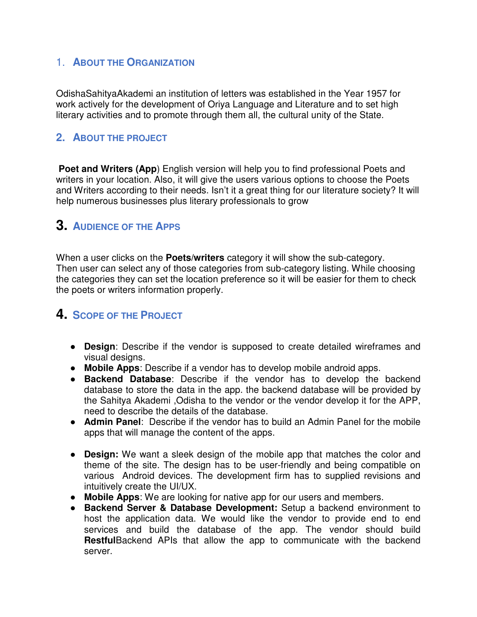### 1. **ABOUT THE ORGANIZATION**

OdishaSahityaAkademi an institution of letters was established in the Year 1957 for work actively for the development of Oriya Language and Literature and to set high literary activities and to promote through them all, the cultural unity of the State.

### **2. ABOUT THE PROJECT**

**Poet and Writers (App)** English version will help you to find professional Poets and writers in your location. Also, it will give the users various options to choose the Poets and Writers according to their needs. Isn't it a great thing for our literature society? It will help numerous businesses plus literary professionals to grow

# **3. AUDIENCE OF THE APPS**

When a user clicks on the **Poets/writers** category it will show the sub-category. Then user can select any of those categories from sub-category listing. While choosing the categories they can set the location preference so it will be easier for them to check the poets or writers information properly.

# **4. SCOPE OF THE PROJECT**

- **Design**: Describe if the vendor is supposed to create detailed wireframes and visual designs.
- **Mobile Apps**: Describe if a vendor has to develop mobile android apps.
- **Backend Database**: Describe if the vendor has to develop the backend database to store the data in the app. the backend database will be provided by the Sahitya Akademi ,Odisha to the vendor or the vendor develop it for the APP, need to describe the details of the database.
- **Admin Panel**: Describe if the vendor has to build an Admin Panel for the mobile apps that will manage the content of the apps.
- **Design:** We want a sleek design of the mobile app that matches the color and theme of the site. The design has to be user-friendly and being compatible on various Android devices. The development firm has to supplied revisions and intuitively create the UI/UX.
- **Mobile Apps**: We are looking for native app for our users and members.
- **Backend Server & Database Development:** Setup a backend environment to host the application data. We would like the vendor to provide end to end services and build the database of the app. The vendor should build **Restful**Backend APIs that allow the app to communicate with the backend server.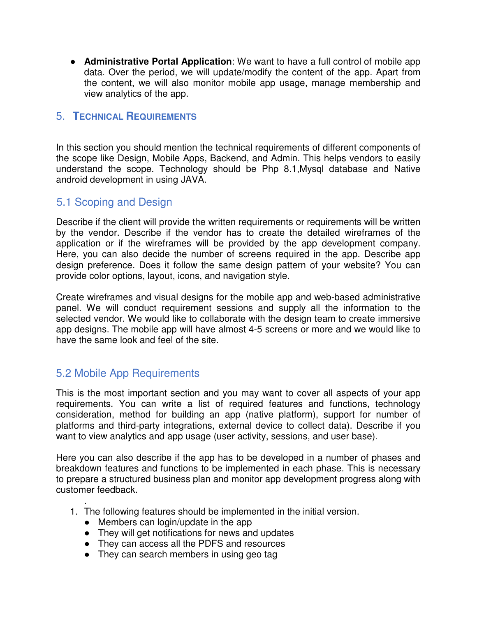● **Administrative Portal Application**: We want to have a full control of mobile app data. Over the period, we will update/modify the content of the app. Apart from the content, we will also monitor mobile app usage, manage membership and view analytics of the app.

### 5. **TECHNICAL REQUIREMENTS**

In this section you should mention the technical requirements of different components of the scope like Design, Mobile Apps, Backend, and Admin. This helps vendors to easily understand the scope. Technology should be Php 8.1,Mysql database and Native android development in using JAVA.

### 5.1 Scoping and Design

Describe if the client will provide the written requirements or requirements will be written by the vendor. Describe if the vendor has to create the detailed wireframes of the application or if the wireframes will be provided by the app development company. Here, you can also decide the number of screens required in the app. Describe app design preference. Does it follow the same design pattern of your website? You can provide color options, layout, icons, and navigation style.

Create wireframes and visual designs for the mobile app and web-based administrative panel. We will conduct requirement sessions and supply all the information to the selected vendor. We would like to collaborate with the design team to create immersive app designs. The mobile app will have almost 4-5 screens or more and we would like to have the same look and feel of the site.

### 5.2 Mobile App Requirements

This is the most important section and you may want to cover all aspects of your app requirements. You can write a list of required features and functions, technology consideration, method for building an app (native platform), support for number of platforms and third-party integrations, external device to collect data). Describe if you want to view analytics and app usage (user activity, sessions, and user base).

Here you can also describe if the app has to be developed in a number of phases and breakdown features and functions to be implemented in each phase. This is necessary to prepare a structured business plan and monitor app development progress along with customer feedback.

- . 1. The following features should be implemented in the initial version.
	- Members can login/update in the app
	- They will get notifications for news and updates
	- They can access all the PDFS and resources
	- They can search members in using geo tag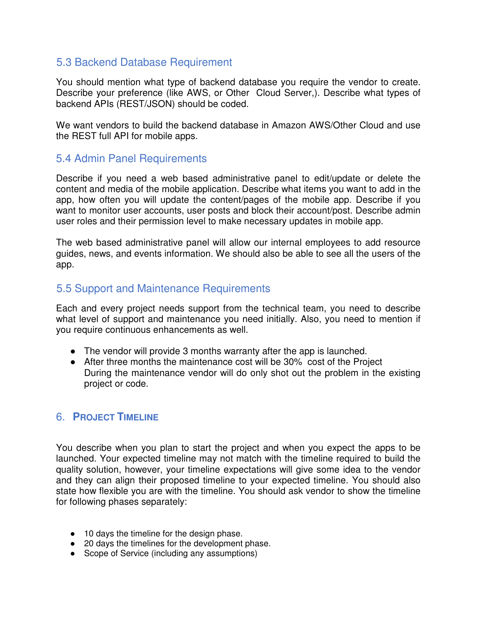### 5.3 Backend Database Requirement

You should mention what type of backend database you require the vendor to create. Describe your preference (like AWS, or Other Cloud Server,). Describe what types of backend APIs (REST/JSON) should be coded.

We want vendors to build the backend database in Amazon AWS/Other Cloud and use the REST full API for mobile apps.

### 5.4 Admin Panel Requirements

Describe if you need a web based administrative panel to edit/update or delete the content and media of the mobile application. Describe what items you want to add in the app, how often you will update the content/pages of the mobile app. Describe if you want to monitor user accounts, user posts and block their account/post. Describe admin user roles and their permission level to make necessary updates in mobile app.

The web based administrative panel will allow our internal employees to add resource guides, news, and events information. We should also be able to see all the users of the app.

### 5.5 Support and Maintenance Requirements

Each and every project needs support from the technical team, you need to describe what level of support and maintenance you need initially. Also, you need to mention if you require continuous enhancements as well.

- The vendor will provide 3 months warranty after the app is launched.
- After three months the maintenance cost will be 30% cost of the Project During the maintenance vendor will do only shot out the problem in the existing project or code.

### 6. **PROJECT TIMELINE**

You describe when you plan to start the project and when you expect the apps to be launched. Your expected timeline may not match with the timeline required to build the quality solution, however, your timeline expectations will give some idea to the vendor and they can align their proposed timeline to your expected timeline. You should also state how flexible you are with the timeline. You should ask vendor to show the timeline for following phases separately:

- 10 days the timeline for the design phase.
- 20 days the timelines for the development phase.
- Scope of Service (including any assumptions)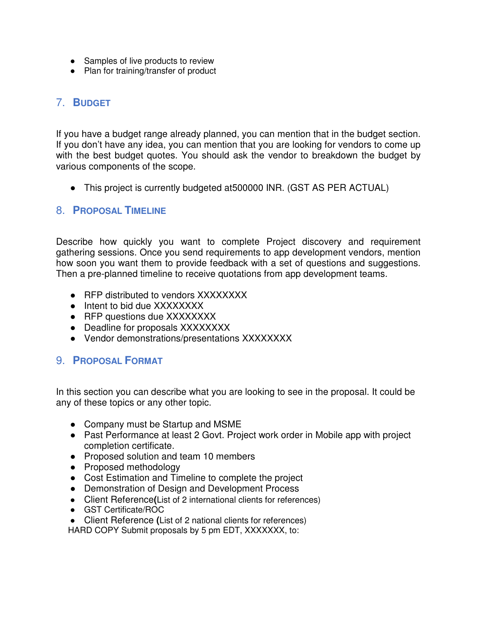- Samples of live products to review
- Plan for training/transfer of product

## 7. **BUDGET**

If you have a budget range already planned, you can mention that in the budget section. If you don't have any idea, you can mention that you are looking for vendors to come up with the best budget quotes. You should ask the vendor to breakdown the budget by various components of the scope.

• This project is currently budgeted at 500000 INR. (GST AS PER ACTUAL)

### 8. **PROPOSAL TIMELINE**

Describe how quickly you want to complete Project discovery and requirement gathering sessions. Once you send requirements to app development vendors, mention how soon you want them to provide feedback with a set of questions and suggestions. Then a pre-planned timeline to receive quotations from app development teams.

- RFP distributed to vendors XXXXXXXX
- Intent to bid due XXXXXXXX
- RFP questions due XXXXXXXX
- Deadline for proposals XXXXXXXX
- Vendor demonstrations/presentations XXXXXXXX

### 9. **PROPOSAL FORMAT**

In this section you can describe what you are looking to see in the proposal. It could be any of these topics or any other topic.

- Company must be Startup and MSME
- Past Performance at least 2 Govt. Project work order in Mobile app with project completion certificate.
- Proposed solution and team 10 members
- Proposed methodology
- Cost Estimation and Timeline to complete the project
- Demonstration of Design and Development Process
- Client Reference**(**List of 2 international clients for references)
- GST Certificate/ROC
- Client Reference **(**List of 2 national clients for references)

HARD COPY Submit proposals by 5 pm EDT, XXXXXXX, to: